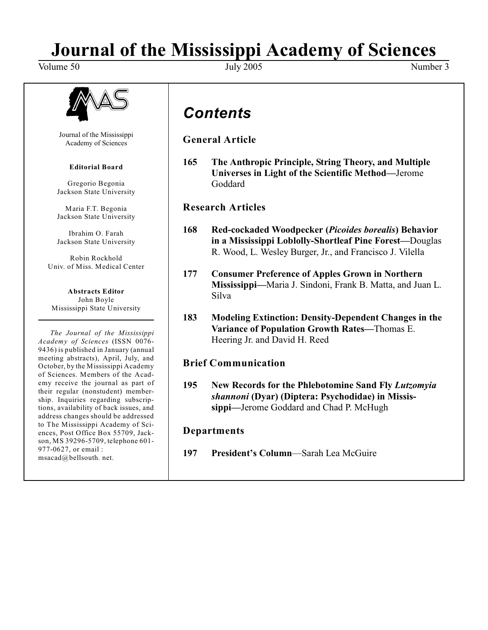# **Journal of the Mississippi Academy of Sciences**<br>July 2005

Volume 50 Volume 50 Volume 50 Volume 3 Vuly 2005 Volume 3 Vumber 3



Journal of the Mississippi Academy of Sciences

### **Editorial Board**

Gregorio Begonia Jackson State University

Maria F.T. Begonia Jackson State University

Ibrahim O. Farah Jackson State University

Robin Rockhold Univ. of Miss. Medical Center

**Abstracts Editor** John Boyle Mississippi State University

*The Journal of the Mississippi Academy of Sciences* (ISSN 0076- 9436) is published in January (annual meeting abstracts), April, July, and October, by the Mississippi Academy of Sciences. Members of the Academy receive the journal as part of their regular (nonstudent) membership. Inquiries regarding subscriptions, availability of back issues, and address changes should be addressed to The Mississippi Academy of Sciences, Post Office Box 55709, Jackson, MS 39296-5709, telephone 601- 977-0627, or email : msacad@bellsouth. net.

*Contents*

**General Article**

**165 The Anthropic Principle, String Theory, and Multiple Universes in Light of the Scientific Method—**Jerome Goddard

**Research Articles**

- **168 Red-cockaded Woodpecker (***Picoides borealis***) Behavior in a Mississippi Loblolly-Shortleaf Pine Forest—**Douglas R. Wood, L. Wesley Burger, Jr., and Francisco J. Vilella
- **177 Consumer Preference of Apples Grown in Northern Mississippi—**Maria J. Sindoni, Frank B. Matta, and Juan L. Silva
- **183 Modeling Extinction: Density-Dependent Changes in the Variance of Population Growth Rates—**Thomas E. Heering Jr. and David H. Reed

# **Brief Communication**

**195 New Records for the Phlebotomine Sand Fly** *Lutzomyia shannoni* **(Dyar) (Diptera: Psychodidae) in Mississippi—**Jerome Goddard and Chad P. McHugh

# **Departments**

**197 President's Column**—Sarah Lea McGuire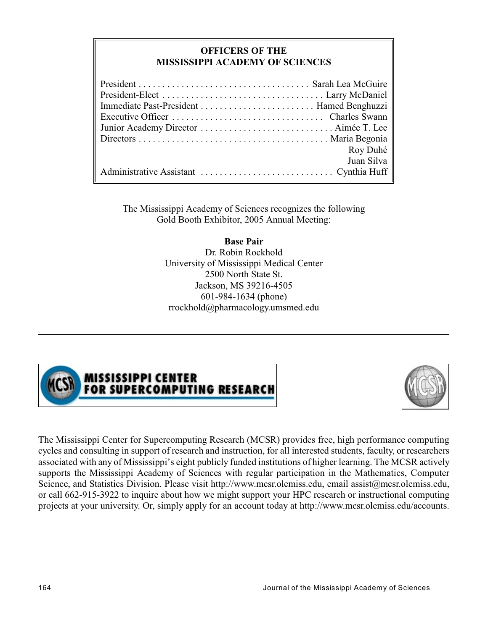# **OFFICERS OF THE MISSISSIPPI ACADEMY OF SCIENCES**

| Roy Duhé   |
|------------|
| Juan Silva |
|            |

The Mississippi Academy of Sciences recognizes the following Gold Booth Exhibitor, 2005 Annual Meeting:

> **Base Pair** Dr. Robin Rockhold University of Mississippi Medical Center 2500 North State St. Jackson, MS 39216-4505 601-984-1634 (phone) rrockhold@pharmacology.umsmed.edu



# MISSISSIPPI CENTER<br>FOR SUPERCOMPUTING RESEARCH



The Mississippi Center for Supercomputing Research (MCSR) provides free, high performance computing cycles and consulting in support of research and instruction, for all interested students, faculty, or researchers associated with any of Mississippi's eight publicly funded institutions of higher learning. The MCSR actively supports the Mississippi Academy of Sciences with regular participation in the Mathematics, Computer Science, and Statistics Division. Please visit http://www.mcsr.olemiss.edu, email assist@mcsr.olemiss.edu, or call 662-915-3922 to inquire about how we might support your HPC research or instructional computing projects at your university. Or, simply apply for an account today at http://www.mcsr.olemiss.edu/accounts.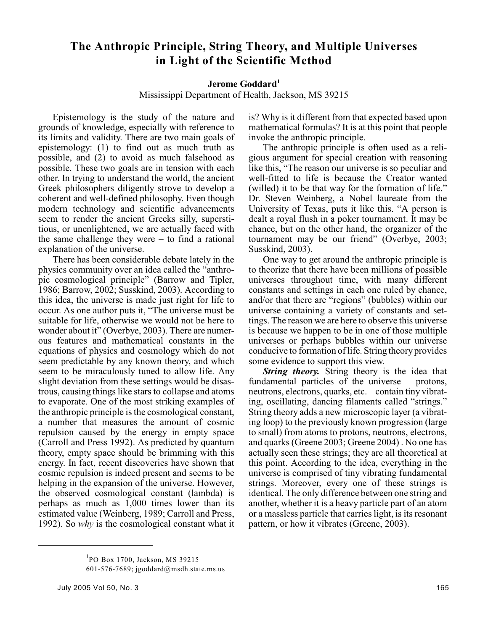# **The Anthropic Principle, String Theory, and Multiple Universes in Light of the Scientific Method**

## **Jerome Goddard<sup>1</sup>**

Mississippi Department of Health, Jackson, MS 39215

Epistemology is the study of the nature and grounds of knowledge, especially with reference to its limits and validity. There are two main goals of epistemology: (1) to find out as much truth as possible, and (2) to avoid as much falsehood as possible. These two goals are in tension with each other. In trying to understand the world, the ancient Greek philosophers diligently strove to develop a coherent and well-defined philosophy. Even though modern technology and scientific advancements seem to render the ancient Greeks silly, superstitious, or unenlightened, we are actually faced with the same challenge they were  $-$  to find a rational explanation of the universe.

There has been considerable debate lately in the physics community over an idea called the "anthropic cosmological principle" (Barrow and Tipler, 1986; Barrow, 2002; Susskind, 2003). According to this idea, the universe is made just right for life to occur. As one author puts it, "The universe must be suitable for life, otherwise we would not be here to wonder about it" (Overbye, 2003). There are numerous features and mathematical constants in the equations of physics and cosmology which do not seem predictable by any known theory, and which seem to be miraculously tuned to allow life. Any slight deviation from these settings would be disastrous, causing things like stars to collapse and atoms to evaporate. One of the most striking examples of the anthropic principle is the cosmological constant, a number that measures the amount of cosmic repulsion caused by the energy in empty space (Carroll and Press 1992). As predicted by quantum theory, empty space should be brimming with this energy. In fact, recent discoveries have shown that cosmic repulsion is indeed present and seems to be helping in the expansion of the universe. However, the observed cosmological constant (lambda) is perhaps as much as 1,000 times lower than its estimated value (Weinberg, 1989; Carroll and Press, 1992). So *why* is the cosmological constant what it

is? Why is it different from that expected based upon mathematical formulas? It is at this point that people invoke the anthropic principle.

The anthropic principle is often used as a religious argument for special creation with reasoning like this, "The reason our universe is so peculiar and well-fitted to life is because the Creator wanted (willed) it to be that way for the formation of life." Dr. Steven Weinberg, a Nobel laureate from the University of Texas, puts it like this. "A person is dealt a royal flush in a poker tournament. It may be chance, but on the other hand, the organizer of the tournament may be our friend" (Overbye, 2003; Susskind, 2003).

One way to get around the anthropic principle is to theorize that there have been millions of possible universes throughout time, with many different constants and settings in each one ruled by chance, and/or that there are "regions" (bubbles) within our universe containing a variety of constants and settings. The reason we are here to observe this universe is because we happen to be in one of those multiple universes or perhaps bubbles within our universe conducive to formation of life. String theory provides some evidence to support this view.

*String theory.* String theory is the idea that fundamental particles of the universe – protons, neutrons, electrons, quarks, etc. – contain tiny vibrating, oscillating, dancing filaments called "strings." String theory adds a new microscopic layer (a vibrating loop) to the previously known progression (large to small) from atoms to protons, neutrons, electrons, and quarks (Greene 2003; Greene 2004) . No one has actually seen these strings; they are all theoretical at this point. According to the idea, everything in the universe is comprised of tiny vibrating fundamental strings. Moreover, every one of these strings is identical. The only difference between one string and another, whether it is a heavy particle part of an atom or a massless particle that carries light, is its resonant pattern, or how it vibrates (Greene, 2003).

 $P$ O Box 1700, Jackson, MS 39215

<sup>601-576-7689;</sup> jgoddard@msdh.state.ms.us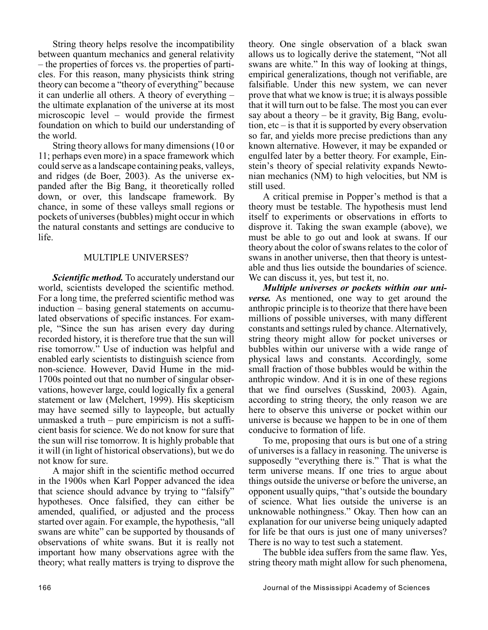String theory helps resolve the incompatibility between quantum mechanics and general relativity – the properties of forces vs. the properties of particles. For this reason, many physicists think string theory can become a "theory of everything" because it can underlie all others. A theory of everything – the ultimate explanation of the universe at its most microscopic level – would provide the firmest foundation on which to build our understanding of the world.

String theory allows for many dimensions (10 or 11; perhaps even more) in a space framework which could serve as a landscape containing peaks, valleys, and ridges (de Boer, 2003). As the universe expanded after the Big Bang, it theoretically rolled down, or over, this landscape framework. By chance, in some of these valleys small regions or pockets of universes (bubbles) might occur in which the natural constants and settings are conducive to life.

### MULTIPLE UNIVERSES?

*Scientific method.* To accurately understand our world, scientists developed the scientific method. For a long time, the preferred scientific method was induction – basing general statements on accumulated observations of specific instances. For example, "Since the sun has arisen every day during recorded history, it is therefore true that the sun will rise tomorrow." Use of induction was helpful and enabled early scientists to distinguish science from non-science. However, David Hume in the mid-1700s pointed out that no number of singular observations, however large, could logically fix a general statement or law (Melchert, 1999). His skepticism may have seemed silly to laypeople, but actually unmasked a truth – pure empiricism is not a sufficient basis for science. We do not know for sure that the sun will rise tomorrow. It is highly probable that it will (in light of historical observations), but we do not know for sure.

A major shift in the scientific method occurred in the 1900s when Karl Popper advanced the idea that science should advance by trying to "falsify" hypotheses. Once falsified, they can either be amended, qualified, or adjusted and the process started over again. For example, the hypothesis, "all swans are white" can be supported by thousands of observations of white swans. But it is really not important how many observations agree with the theory; what really matters is trying to disprove the

theory. One single observation of a black swan allows us to logically derive the statement, "Not all swans are white." In this way of looking at things, empirical generalizations, though not verifiable, are falsifiable. Under this new system, we can never prove that what we know is true; it is always possible that it will turn out to be false. The most you can ever say about a theory – be it gravity, Big Bang, evolution,  $etc - is$  that it is supported by every observation so far, and yields more precise predictions than any known alternative. However, it may be expanded or engulfed later by a better theory. For example, Einstein's theory of special relativity expands Newtonian mechanics (NM) to high velocities, but NM is still used.

A critical premise in Popper's method is that a theory must be testable. The hypothesis must lend itself to experiments or observations in efforts to disprove it. Taking the swan example (above), we must be able to go out and look at swans. If our theory about the color of swans relates to the color of swans in another universe, then that theory is untestable and thus lies outside the boundaries of science. We can discuss it, yes, but test it, no.

*Multiple universes or pockets within our universe.* As mentioned, one way to get around the anthropic principle is to theorize that there have been millions of possible universes, with many different constants and settings ruled by chance. Alternatively, string theory might allow for pocket universes or bubbles within our universe with a wide range of physical laws and constants. Accordingly, some small fraction of those bubbles would be within the anthropic window. And it is in one of these regions that we find ourselves (Susskind, 2003). Again, according to string theory, the only reason we are here to observe this universe or pocket within our universe is because we happen to be in one of them conducive to formation of life.

To me, proposing that ours is but one of a string of universes is a fallacy in reasoning. The universe is supposedly "everything there is." That is what the term universe means. If one tries to argue about things outside the universe or before the universe, an opponent usually quips, "that's outside the boundary of science. What lies outside the universe is an unknowable nothingness." Okay. Then how can an explanation for our universe being uniquely adapted for life be that ours is just one of many universes? There is no way to test such a statement.

The bubble idea suffers from the same flaw. Yes, string theory math might allow for such phenomena,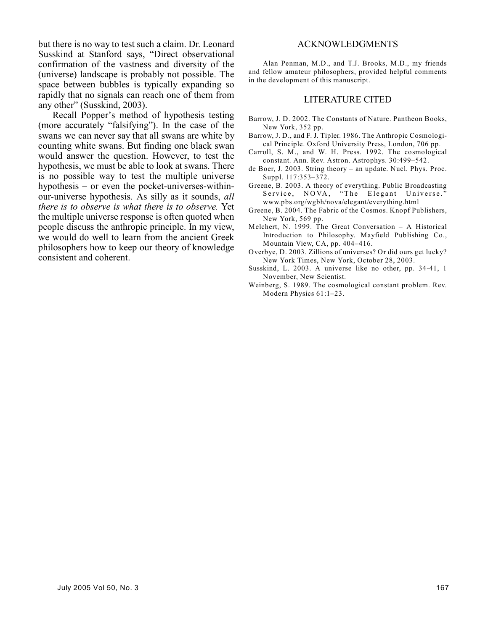but there is no way to test such a claim. Dr. Leonard Susskind at Stanford says, "Direct observational confirmation of the vastness and diversity of the (universe) landscape is probably not possible. The space between bubbles is typically expanding so rapidly that no signals can reach one of them from any other" (Susskind, 2003).

Recall Popper's method of hypothesis testing (more accurately "falsifying"). In the case of the swans we can never say that all swans are white by counting white swans. But finding one black swan would answer the question. However, to test the hypothesis, we must be able to look at swans. There is no possible way to test the multiple universe hypothesis – or even the pocket-universes-withinour-universe hypothesis. As silly as it sounds, *all there is to observe is what there is to observe.* Yet the multiple universe response is often quoted when people discuss the anthropic principle. In my view, we would do well to learn from the ancient Greek philosophers how to keep our theory of knowledge consistent and coherent.

#### ACKNOWLEDGMENTS

Alan Penman, M.D., and T.J. Brooks, M.D., my friends and fellow amateur philosophers, provided helpful comments in the development of this manuscript.

#### LITERATURE CITED

- Barrow, J. D. 2002. The Constants of Nature. Pantheon Books, New York, 352 pp.
- Barrow, J. D., and F. J. Tipler. 1986. The Anthropic Cosmological Principle. Oxford University Press, London, 706 pp.
- Carroll, S. M., and W. H. Press. 1992. The cosmological constant. Ann. Rev. Astron. Astrophys. 30:499–542.
- de Boer, J. 2003. String theory an update. Nucl. Phys. Proc. Suppl. 117:353–372.
- Greene, B. 2003. A theory of everything. Public Broadcasting Service, NOVA, "The Elegant Universe." www.pbs.org/wgbh/nova/elegant/everything.html
- Greene, B. 2004. The Fabric of the Cosmos. Knopf Publishers, New York, 569 pp.
- Melchert, N. 1999. The Great Conversation A Historical Introduction to Philosophy. Mayfield Publishing Co., Mountain View, CA, pp. 404–416.
- Overbye, D. 2003. Zillions of universes? Or did ours get lucky? New York Times, New York, October 28, 2003.
- Susskind, L. 2003. A universe like no other, pp. 34-41, 1 November, New Scientist.
- Weinberg, S. 1989. The cosmological constant problem. Rev. Modern Physics 61:1–23.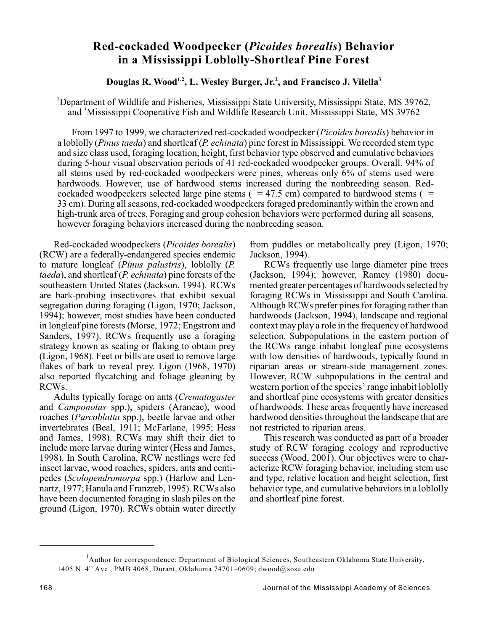# **Red-cockaded Woodpecker (***Picoides borealis***) Behavior in a Mississippi Loblolly-Shortleaf Pine Forest**

# **Douglas R. Wood<sup>1,2</sup>, L. Wesley Burger, Jr.<sup>2</sup>, and Francisco J. Vilella<sup>3</sup>**

<sup>2</sup>Department of Wildlife and Fisheries, Mississippi State University, Mississippi State, MS 39762, and <sup>3</sup>Mississippi Cooperative Fish and Wildlife Research Unit, Mississippi State, MS 39762

From 1997 to 1999, we characterized red-cockaded woodpecker (*Picoides borealis*) behavior in a loblolly (*Pinus taeda*) and shortleaf (*P. echinata*) pine forest in Mississippi. We recorded stem type and size class used, foraging location, height, first behavior type observed and cumulative behaviors during 5-hour visual observation periods of 41 red-cockaded woodpecker groups. Overall, 94% of all stems used by red-cockaded woodpeckers were pines, whereas only 6% of stems used were hardwoods. However, use of hardwood stems increased during the nonbreeding season. Redcockaded woodpeckers selected large pine stems  $($  = 47.5 cm) compared to hardwood stems  $($  = 33 cm). During all seasons, red-cockaded woodpeckers foraged predominantly within the crown and high-trunk area of trees. Foraging and group cohesion behaviors were performed during all seasons, however foraging behaviors increased during the nonbreeding season.

Red-cockaded woodpeckers (*Picoides borealis*) (RCW) are a federally-endangered species endemic to mature longleaf (*Pinus palustris*), loblolly (*P. taeda*), and shortleaf (*P. echinata*) pine forests of the southeastern United States (Jackson, 1994). RCWs are bark-probing insectivores that exhibit sexual segregation during foraging (Ligon, 1970; Jackson, 1994); however, most studies have been conducted in longleaf pine forests (Morse, 1972; Engstrom and Sanders, 1997). RCWs frequently use a foraging strategy known as scaling or flaking to obtain prey (Ligon, 1968). Feet or bills are used to remove large flakes of bark to reveal prey. Ligon (1968, 1970) also reported flycatching and foliage gleaning by RCWs.

Adults typically forage on ants (*Crematogaster* and *Camponotus* spp.), spiders (Araneae), wood roaches (*Parcoblatta* spp.), beetle larvae and other invertebrates (Beal, 1911; McFarlane, 1995; Hess and James, 1998). RCWs may shift their diet to include more larvae during winter (Hess and James, 1998). In South Carolina, RCW nestlings were fed insect larvae, wood roaches, spiders, ants and centipedes (*Scolopendromorpa* spp.) (Harlow and Lennartz, 1977; Hanula and Franzreb, 1995). RCWs also have been documented foraging in slash piles on the ground (Ligon, 1970). RCWs obtain water directly from puddles or metabolically prey (Ligon, 1970; Jackson, 1994).

RCWs frequently use large diameter pine trees (Jackson, 1994); however, Ramey (1980) documented greater percentages of hardwoods selected by foraging RCWs in Mississippi and South Carolina. Although RCWs prefer pines for foraging rather than hardwoods (Jackson, 1994), landscape and regional context may play a role in the frequency of hardwood selection. Subpopulations in the eastern portion of the RCWs range inhabit longleaf pine ecosystems with low densities of hardwoods, typically found in riparian areas or stream-side management zones. However, RCW subpopulations in the central and western portion of the species' range inhabit loblolly and shortleaf pine ecosystems with greater densities of hardwoods. These areas frequently have increased hardwood densities throughout the landscape that are not restricted to riparian areas.

This research was conducted as part of a broader study of RCW foraging ecology and reproductive success (Wood, 2001). Our objectives were to characterize RCW foraging behavior, including stem use and type, relative location and height selection, first behavior type, and cumulative behaviors in a loblolly and shortleaf pine forest.

<sup>&</sup>lt;sup>1</sup>Author for correspondence: Department of Biological Sciences, Southeastern Oklahoma State University, 1405 N. 4<sup>th</sup> Ave., PMB 4068, Durant, Oklahoma 74701–0609; dwood@sosu.edu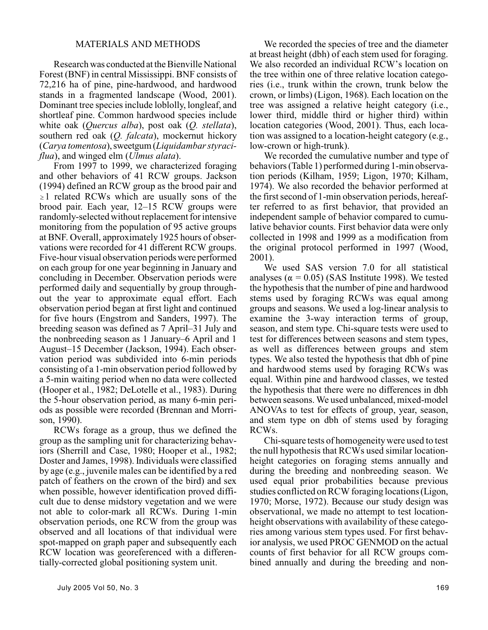### MATERIALS AND METHODS

Research was conducted at the Bienville National Forest (BNF) in central Mississippi. BNF consists of 72,216 ha of pine, pine-hardwood, and hardwood stands in a fragmented landscape (Wood, 2001). Dominant tree species include loblolly, longleaf, and shortleaf pine. Common hardwood species include white oak (*Quercus alba*), post oak (*Q. stellata*), southern red oak (*Q. falcata*), mockernut hickory (*Carya tomentosa*), sweetgum (*Liquidambar styraciflua*), and winged elm (*Ulmus alata*).

From 1997 to 1999, we characterized foraging and other behaviors of 41 RCW groups. Jackson (1994) defined an RCW group as the brood pair and  $\geq 1$  related RCWs which are usually sons of the brood pair. Each year, 12–15 RCW groups were randomly-selected without replacement for intensive monitoring from the population of 95 active groups at BNF. Overall, approximately 1925 hours of observations were recorded for 41 different RCW groups. Five-hour visual observation periods were performed on each group for one year beginning in January and concluding in December. Observation periods were performed daily and sequentially by group throughout the year to approximate equal effort. Each observation period began at first light and continued for five hours (Engstrom and Sanders, 1997). The breeding season was defined as 7 April–31 July and the nonbreeding season as 1 January–6 April and 1 August–15 December (Jackson, 1994). Each observation period was subdivided into 6-min periods consisting of a 1-min observation period followed by a 5-min waiting period when no data were collected (Hooper et al., 1982; DeLotelle et al., 1983). During the 5-hour observation period, as many 6-min periods as possible were recorded (Brennan and Morrison, 1990).

RCWs forage as a group, thus we defined the group as the sampling unit for characterizing behaviors (Sherrill and Case, 1980; Hooper et al., 1982; Doster and James, 1998). Individuals were classified by age (e.g., juvenile males can be identified by a red patch of feathers on the crown of the bird) and sex when possible, however identification proved difficult due to dense midstory vegetation and we were not able to color-mark all RCWs. During 1-min observation periods, one RCW from the group was observed and all locations of that individual were spot-mapped on graph paper and subsequently each RCW location was georeferenced with a differentially-corrected global positioning system unit.

We recorded the species of tree and the diameter at breast height (dbh) of each stem used for foraging. We also recorded an individual RCW's location on the tree within one of three relative location categories (i.e., trunk within the crown, trunk below the crown, or limbs) (Ligon, 1968). Each location on the tree was assigned a relative height category (i.e., lower third, middle third or higher third) within location categories (Wood, 2001). Thus, each location was assigned to a location-height category (e.g., low-crown or high-trunk).

We recorded the cumulative number and type of behaviors (Table 1) performed during 1-min observation periods (Kilham, 1959; Ligon, 1970; Kilham, 1974). We also recorded the behavior performed at the first second of 1-min observation periods, hereafter referred to as first behavior, that provided an independent sample of behavior compared to cumulative behavior counts. First behavior data were only collected in 1998 and 1999 as a modification from the original protocol performed in 1997 (Wood, 2001).

We used SAS version 7.0 for all statistical analyses ( $\alpha$  = 0.05) (SAS Institute 1998). We tested the hypothesis that the number of pine and hardwood stems used by foraging RCWs was equal among groups and seasons. We used a log-linear analysis to examine the 3-way interaction terms of group, season, and stem type. Chi-square tests were used to test for differences between seasons and stem types, as well as differences between groups and stem types. We also tested the hypothesis that dbh of pine and hardwood stems used by foraging RCWs was equal. Within pine and hardwood classes, we tested the hypothesis that there were no differences in dbh between seasons. We used unbalanced, mixed-model ANOVAs to test for effects of group, year, season, and stem type on dbh of stems used by foraging RCWs.

Chi-square tests of homogeneitywere used to test the null hypothesis that RCWs used similar locationheight categories on foraging stems annually and during the breeding and nonbreeding season. We used equal prior probabilities because previous studies conflicted on RCW foraging locations (Ligon, 1970; Morse, 1972). Because our study design was observational, we made no attempt to test locationheight observations with availability of these categories among various stem types used. For first behavior analysis, we used PROC GENMOD on the actual counts of first behavior for all RCW groups combined annually and during the breeding and non-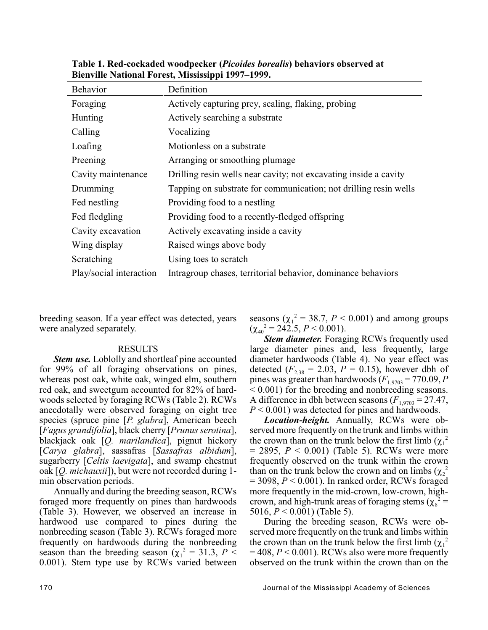| <b>Behavior</b>         | Definition                                                       |
|-------------------------|------------------------------------------------------------------|
| Foraging                | Actively capturing prey, scaling, flaking, probing               |
| Hunting                 | Actively searching a substrate                                   |
| Calling                 | Vocalizing                                                       |
| Loafing                 | Motionless on a substrate                                        |
| Preening                | Arranging or smoothing plumage                                   |
| Cavity maintenance      | Drilling resin wells near cavity; not excavating inside a cavity |
| Drumming                | Tapping on substrate for communication; not drilling resin wells |
| Fed nestling            | Providing food to a nestling                                     |
| Fed fledgling           | Providing food to a recently-fledged offspring                   |
| Cavity excavation       | Actively excavating inside a cavity                              |
| Wing display            | Raised wings above body                                          |
| Scratching              | Using toes to scratch                                            |
| Play/social interaction | Intragroup chases, territorial behavior, dominance behaviors     |

**Table 1. Red-cockaded woodpecker (***Picoides borealis***) behaviors observed at Bienville National Forest, Mississippi 1997–1999.**

breeding season. If a year effect was detected, years were analyzed separately.

#### RESULTS

*Stem use.* Loblolly and shortleaf pine accounted for 99% of all foraging observations on pines, whereas post oak, white oak, winged elm, southern red oak, and sweetgum accounted for 82% of hardwoods selected by foraging RCWs (Table 2). RCWs anecdotally were observed foraging on eight tree species (spruce pine [*P. glabra*], American beech [*Fagus grandifolia*], black cherry [*Prunus serotina*], blackjack oak [*Q. marilandica*], pignut hickory [*Carya glabra*], sassafras [*Sassafras albidum*], sugarberry [*Celtis laevigata*], and swamp chestnut oak [*Q. michauxii*]), but were not recorded during 1 min observation periods.

Annually and during the breeding season, RCWs foraged more frequently on pines than hardwoods (Table 3). However, we observed an increase in hardwood use compared to pines during the nonbreeding season (Table 3). RCWs foraged more frequently on hardwoods during the nonbreeding season than the breeding season ( $\chi_1^2 = 31.3$ ,  $P \leq$ 0.001). Stem type use by RCWs varied between

seasons ( $\chi_1^2 = 38.7$ ,  $P < 0.001$ ) and among groups  $(\chi_{40}^2 = 242.5, P \le 0.001).$ 

*Stem diameter.* Foraging RCWs frequently used large diameter pines and, less frequently, large diameter hardwoods (Table 4). No year effect was detected  $(F_{2,38} = 2.03, P = 0.15)$ , however dbh of pines was greater than hardwoods  $(F_{1,9703} = 770.09, P$ < 0.001) for the breeding and nonbreeding seasons. A difference in dbh between seasons  $(F_{1,9703} = 27.47)$ , *P* < 0.001) was detected for pines and hardwoods.

*Location-height.* Annually, RCWs were observed more frequently on the trunk and limbs within the crown than on the trunk below the first limb  $(\chi_1^2)$  $= 2895, P < 0.001$ ) (Table 5). RCWs were more frequently observed on the trunk within the crown than on the trunk below the crown and on limbs  $(\chi_2^2)$ = 3098, *P* < 0.001). In ranked order, RCWs foraged more frequently in the mid-crown, low-crown, highcrown, and high-trunk areas of foraging stems ( $\chi_8^2$  = 5016, *P* < 0.001) (Table 5).

During the breeding season, RCWs were observed more frequently on the trunk and limbs within the crown than on the trunk below the first limb  $(\chi_1^2)$  $= 408, P \le 0.001$ ). RCWs also were more frequently observed on the trunk within the crown than on the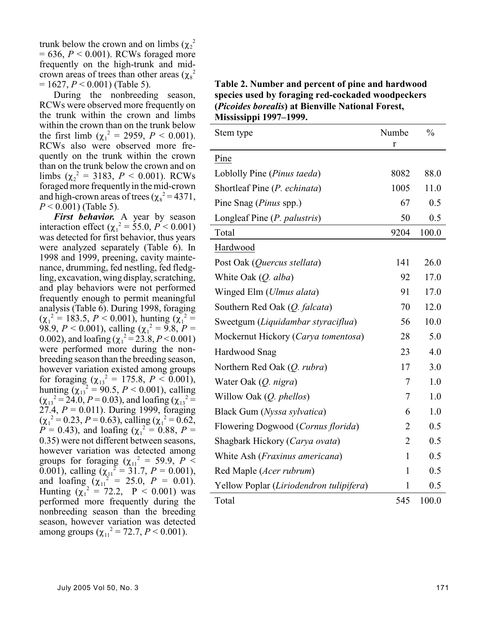trunk below the crown and on limbs  $(\chi_2^2)$ = 636, *P* < 0.001). RCWs foraged more frequently on the high-trunk and midcrown areas of trees than other areas  $(\chi_8^2)$ = 1627, *P* < 0.001) (Table 5).

During the nonbreeding season, RCWs were observed more frequently on the trunk within the crown and limbs within the crown than on the trunk below the first limb  $(\chi_1^2 = 2959, P < 0.001)$ . RCWs also were observed more frequently on the trunk within the crown than on the trunk below the crown and on limbs  $(\chi_2^2 = 3183, P < 0.001)$ . RCWs foraged more frequently in the mid-crown and high-crown areas of trees  $(\chi_8^2 = 4371,$ *P* < 0.001) (Table 5).

*First behavior.* A year by season interaction effect ( $\chi_1^2 = 55.0, P \le 0.001$ ) was detected for first behavior, thus years were analyzed separately (Table 6). In 1998 and 1999, preening, cavity maintenance, drumming, fed nestling, fed fledgling, excavation, wing display, scratching, and play behaviors were not performed frequently enough to permit meaningful analysis (Table 6). During 1998, foraging  $(\chi_1^2 = 183.5, P < 0.001)$ , hunting  $(\chi_1^2 =$ 98.9,  $P < 0.001$ ), calling ( $\chi_1^2 = 9.8$ ,  $P =$ 0.002), and loafing ( $\chi_1^2 = 23.8, P \le 0.001$ ) were performed more during the nonbreeding season than the breeding season, however variation existed among groups for foraging ( $\chi_{13}^2 = 175.8$ ,  $P < 0.001$ ), hunting  $(\chi_{13}^2 = 90.5, P < 0.001)$ , calling  $(\chi_{13}^2 = 24.0, P = 0.03)$ , and loafing  $(\chi_{13}^2 =$ 27.4, *P* = 0.011). During 1999, foraging  $(\chi_1^2 = 0.23, P = 0.63)$ , calling  $(\chi_1^2 = 0.62, P)$  $P = 0.43$ ), and loafing ( $\chi_1^2 = 0.88$ ,  $P =$ 0.35) were not different between seasons, however variation was detected among groups for foraging ( $\chi_{11}^2$  = 59.9, *P* < 0.001), calling ( $\chi_{11}^2 = 31.7$ ,  $P = 0.001$ ), and  $\text{loating}_{(X_{11}^2)} = 25.0, \ P = 0.01$ . Hunting  $(\chi_1^2 = 72.2, P < 0.001)$  was performed more frequently during the nonbreeding season than the breeding season, however variation was detected among groups ( $\chi_{11}^2$  = 72.7, *P* < 0.001).

**Table 2. Number and percent of pine and hardwood species used by foraging red-cockaded woodpeckers (***Picoides borealis***) at Bienville National Forest, Mississippi 1997–1999.**

| Stem type                               | Numbe          | $\frac{0}{0}$ |
|-----------------------------------------|----------------|---------------|
|                                         | r              |               |
| Pine                                    |                |               |
| Loblolly Pine (Pinus taeda)             | 8082           | 88.0          |
| Shortleaf Pine (P. echinata)            | 1005           | 11.0          |
| Pine Snag (Pinus spp.)                  | 67             | 0.5           |
| Longleaf Pine (P. palustris)            | 50             | 0.5           |
| Total                                   | 9204           | 100.0         |
| Hardwood                                |                |               |
| Post Oak (Quercus stellata)             | 141            | 26.0          |
| White Oak (Q. alba)                     | 92             | 17.0          |
| Winged Elm (Ulmus alata)                | 91             | 17.0          |
| Southern Red Oak (Q. falcata)           | 70             | 12.0          |
| Sweetgum (Liquidambar styraciflua)      | 56             | 10.0          |
| Mockernut Hickory (Carya tomentosa)     | 28             | 5.0           |
| Hardwood Snag                           | 23             | 4.0           |
| Northern Red Oak (Q. rubra)             | 17             | 3.0           |
| Water Oak (Q. nigra)                    | 7              | 1.0           |
| Willow Oak (Q. phellos)                 | 7              | 1.0           |
| Black Gum (Nyssa sylvatica)             | 6              | 1.0           |
| Flowering Dogwood (Cornus florida)      | 2              | 0.5           |
| Shagbark Hickory (Carya ovata)          | $\overline{2}$ | 0.5           |
| White Ash (Fraxinus americana)          | 1              | 0.5           |
| Red Maple (Acer rubrum)                 | $\mathbf{1}$   | 0.5           |
| Yellow Poplar (Liriodendron tulipifera) | 1              | 0.5           |
| Total                                   | 545            | 100.0         |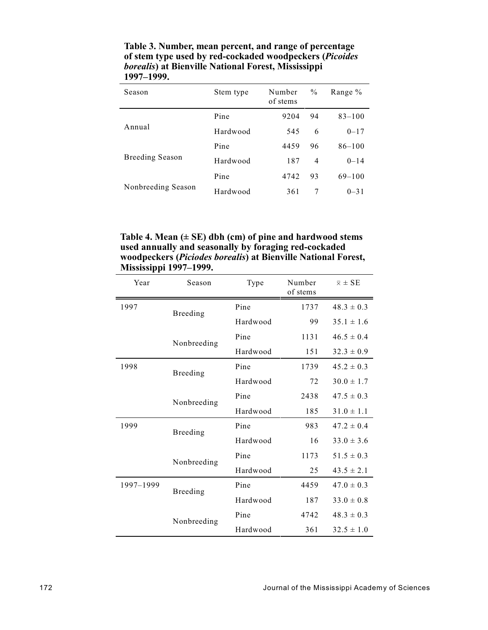| Season                 | Stem type | Number<br>of stems | $\frac{0}{0}$ | Range $\%$ |
|------------------------|-----------|--------------------|---------------|------------|
|                        | Pine      | 9204               | 94            | $83 - 100$ |
| Annual                 | Hardwood  | 545                | 6             | $0 - 17$   |
|                        | Pine      | 4459               | 96            | $86 - 100$ |
| <b>Breeding Season</b> | Hardwood  | 187                | 4             | $0 - 14$   |
|                        | Pine      | 4742               | 93            | $69 - 100$ |
| Nonbreeding Season     | Hardwood  | 361                | 7             | $0 - 31$   |

**Table 3. Number, mean percent, and range of percentage of stem type used by red-cockaded woodpeckers (***Picoides borealis***) at Bienville National Forest, Mississippi 1997–1999.**

**Table 4. Mean (± SE) dbh (cm) of pine and hardwood stems used annually and seasonally by foraging red-cockaded woodpeckers (***Piciodes borealis***) at Bienville National Forest, Mississippi 1997–1999.**

| Year      | Season      | Type     | Number<br>of stems | $\overline{x} \pm \text{SE}$ |
|-----------|-------------|----------|--------------------|------------------------------|
| 1997      | Breeding    | Pine     | 1737               | $48.3 \pm 0.3$               |
|           |             | Hardwood | 99                 | $35.1 \pm 1.6$               |
|           | Nonbreeding | Pine     | 1131               | $46.5 \pm 0.4$               |
|           |             | Hardwood | 151                | $32.3 \pm 0.9$               |
| 1998      | Breeding    | Pine     | 1739               | $45.2 \pm 0.3$               |
|           |             | Hardwood | 72                 | $30.0 \pm 1.7$               |
|           | Nonbreeding | Pine     | 2438               | $47.5 \pm 0.3$               |
|           |             | Hardwood | 185                | $31.0 \pm 1.1$               |
| 1999      | Breeding    | Pine     | 983                | $47.2 \pm 0.4$               |
|           |             | Hardwood | 16                 | $33.0 \pm 3.6$               |
|           | Nonbreeding | Pine     | 1173               | $51.5 \pm 0.3$               |
|           |             | Hardwood | 25                 | $43.5 \pm 2.1$               |
| 1997-1999 | Breeding    | Pine     | 4459               | $47.0 \pm 0.3$               |
|           |             | Hardwood | 187                | $33.0 \pm 0.8$               |
|           | Nonbreeding | Pine     | 4742               | $48.3 \pm 0.3$               |
|           |             | Hardwood | 361                | $32.5 \pm 1.0$               |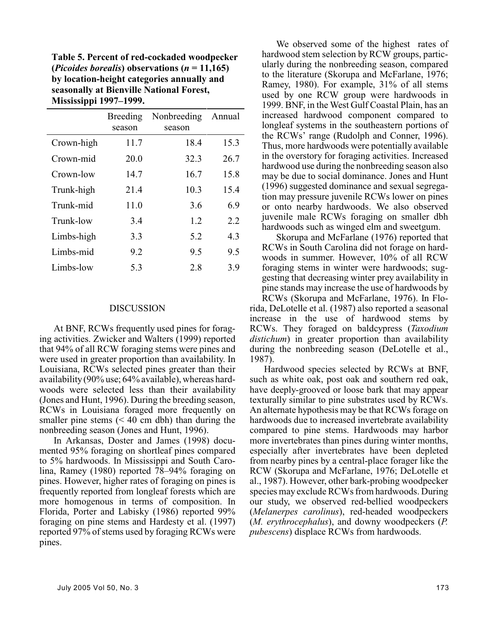**Table 5. Percent of red-cockaded woodpecker (***Picoides borealis***) observations (***n* **= 11,165) by location-height categories annually and seasonally at Bienville National Forest, Mississippi 1997–1999.**

|            | Breeding<br>season | Nonbreeding<br>season | Annual |
|------------|--------------------|-----------------------|--------|
| Crown-high | 11.7               | 18.4                  | 15.3   |
| Crown-mid  | 20.0               | 32.3                  | 26.7   |
| Crown-low  | 14.7               | 16.7                  | 15.8   |
| Trunk-high | 21.4               | 10.3                  | 15.4   |
| Trunk-mid  | 11.0               | 3.6                   | 6.9    |
| Trunk-low  | 3.4                | 1.2                   | 2.2    |
| Limbs-high | 3.3                | 5.2                   | 4.3    |
| Limbs-mid  | 9.2                | 9.5                   | 9.5    |
| Limbs-low  | 5.3                | 2.8                   | 3.9    |

#### DISCUSSION

At BNF, RCWs frequently used pines for foraging activities. Zwicker and Walters (1999) reported that 94% of all RCW foraging stems were pines and were used in greater proportion than availability. In Louisiana, RCWs selected pines greater than their availability (90% use; 64% available), whereas hardwoods were selected less than their availability (Jones and Hunt, 1996). During the breeding season, RCWs in Louisiana foraged more frequently on smaller pine stems  $( $40 \text{ cm}$  dbh) than during the$ nonbreeding season (Jones and Hunt, 1996).

In Arkansas, Doster and James (1998) documented 95% foraging on shortleaf pines compared to 5% hardwoods. In Mississippi and South Carolina, Ramey (1980) reported 78–94% foraging on pines. However, higher rates of foraging on pines is frequently reported from longleaf forests which are more homogenous in terms of composition. In Florida, Porter and Labisky (1986) reported 99% foraging on pine stems and Hardesty et al. (1997) reported 97% of stems used by foraging RCWs were pines.

We observed some of the highest rates of hardwood stem selection by RCW groups, particularly during the nonbreeding season, compared to the literature (Skorupa and McFarlane, 1976; Ramey, 1980). For example, 31% of all stems used by one RCW group were hardwoods in 1999. BNF, in the West Gulf Coastal Plain, has an increased hardwood component compared to longleaf systems in the southeastern portions of the RCWs' range (Rudolph and Conner, 1996). Thus, more hardwoods were potentially available in the overstory for foraging activities. Increased hardwood use during the nonbreeding season also may be due to social dominance. Jones and Hunt (1996) suggested dominance and sexual segregation may pressure juvenile RCWs lower on pines or onto nearby hardwoods. We also observed juvenile male RCWs foraging on smaller dbh hardwoods such as winged elm and sweetgum.

Skorupa and McFarlane (1976) reported that RCWs in South Carolina did not forage on hardwoods in summer. However, 10% of all RCW foraging stems in winter were hardwoods; suggesting that decreasing winter prey availability in pine stands may increase the use of hardwoods by

RCWs (Skorupa and McFarlane, 1976). In Florida, DeLotelle et al. (1987) also reported a seasonal increase in the use of hardwood stems by RCWs. They foraged on baldcypress (*Taxodium distichum*) in greater proportion than availability during the nonbreeding season (DeLotelle et al., 1987).

Hardwood species selected by RCWs at BNF, such as white oak, post oak and southern red oak, have deeply-grooved or loose bark that may appear texturally similar to pine substrates used by RCWs. An alternate hypothesis may be that RCWs forage on hardwoods due to increased invertebrate availability compared to pine stems. Hardwoods may harbor more invertebrates than pines during winter months, especially after invertebrates have been depleted from nearby pines by a central-place forager like the RCW (Skorupa and McFarlane, 1976; DeLotelle et al., 1987). However, other bark-probing woodpecker species may exclude RCWs from hardwoods. During our study, we observed red-bellied woodpeckers (*Melanerpes carolinus*), red-headed woodpeckers (*M. erythrocephalus*), and downy woodpeckers (*P. pubescens*) displace RCWs from hardwoods.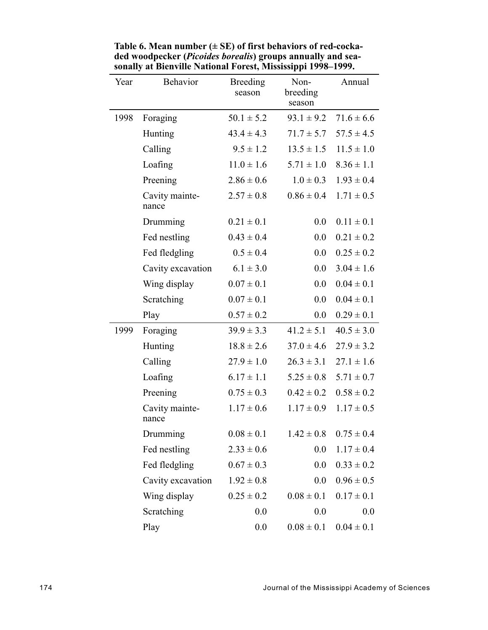| Year | <b>Behavior</b>         | <b>Breeding</b><br>season | Non-<br>breeding<br>season | Annual         |
|------|-------------------------|---------------------------|----------------------------|----------------|
| 1998 | Foraging                | $50.1 \pm 5.2$            | $93.1 \pm 9.2$             | $71.6 \pm 6.6$ |
|      | Hunting                 | $43.4 \pm 4.3$            | $71.7 \pm 5.7$             | $57.5 \pm 4.5$ |
|      | Calling                 | $9.5 \pm 1.2$             | $13.5 \pm 1.5$             | $11.5 \pm 1.0$ |
|      | Loafing                 | $11.0 \pm 1.6$            | $5.71 \pm 1.0$             | $8.36 \pm 1.1$ |
|      | Preening                | $2.86 \pm 0.6$            | $1.0 \pm 0.3$              | $1.93 \pm 0.4$ |
|      | Cavity mainte-<br>nance | $2.57 \pm 0.8$            | $0.86 \pm 0.4$             | $1.71 \pm 0.5$ |
|      | Drumming                | $0.21 \pm 0.1$            | $0.0\,$                    | $0.11 \pm 0.1$ |
|      | Fed nestling            | $0.43 \pm 0.4$            | $0.0\,$                    | $0.21 \pm 0.2$ |
|      | Fed fledgling           | $0.5 \pm 0.4$             | $0.0\,$                    | $0.25 \pm 0.2$ |
|      | Cavity excavation       | $6.1 \pm 3.0$             | $0.0\,$                    | $3.04 \pm 1.6$ |
|      | Wing display            | $0.07 \pm 0.1$            | 0.0                        | $0.04 \pm 0.1$ |
|      | Scratching              | $0.07 \pm 0.1$            | 0.0                        | $0.04 \pm 0.1$ |
|      | Play                    | $0.57 \pm 0.2$            | $0.0\,$                    | $0.29 \pm 0.1$ |
| 1999 | Foraging                | $39.9 \pm 3.3$            | $41.2 \pm 5.1$             | $40.5 \pm 3.0$ |
|      | Hunting                 | $18.8 \pm 2.6$            | $37.0 \pm 4.6$             | $27.9 \pm 3.2$ |
|      | Calling                 | $27.9 \pm 1.0$            | $26.3 \pm 3.1$             | $27.1 \pm 1.6$ |
|      | Loafing                 | $6.17 \pm 1.1$            | $5.25 \pm 0.8$             | $5.71 \pm 0.7$ |
|      | Preening                | $0.75 \pm 0.3$            | $0.42 \pm 0.2$             | $0.58 \pm 0.2$ |
|      | Cavity mainte-<br>nance | $1.17 \pm 0.6$            | $1.17 \pm 0.9$             | $1.17 \pm 0.5$ |
|      | Drumming                | $0.08 \pm 0.1$            | $1.42 \pm 0.8$             | $0.75 \pm 0.4$ |
|      | Fed nestling            | $2.33 \pm 0.6$            | 0.0                        | $1.17 \pm 0.4$ |
|      | Fed fledgling           | $0.67 \pm 0.3$            | $0.0\,$                    | $0.33 \pm 0.2$ |
|      | Cavity excavation       | $1.92 \pm 0.8$            | 0.0                        | $0.96 \pm 0.5$ |
|      | Wing display            | $0.25 \pm 0.2$            | $0.08 \pm 0.1$             | $0.17 \pm 0.1$ |
|      | Scratching              | 0.0                       | 0.0                        | 0.0            |
|      | Play                    | 0.0                       | $0.08 \pm 0.1$             | $0.04 \pm 0.1$ |

**Table 6. Mean number (± SE) of first behaviors of red-cockaded woodpecker (***Picoides borealis***) groups annually and seasonally at Bienville National Forest, Mississippi 1998–1999.**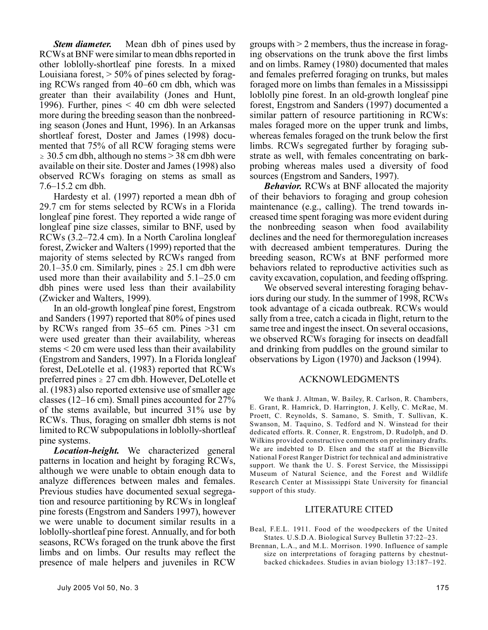*Stem diameter.* Mean dbh of pines used by RCWs at BNF were similar to mean dbhs reported in other loblolly-shortleaf pine forests. In a mixed Louisiana forest,  $> 50\%$  of pines selected by foraging RCWs ranged from 40–60 cm dbh, which was greater than their availability (Jones and Hunt, 1996). Further, pines < 40 cm dbh were selected more during the breeding season than the nonbreeding season (Jones and Hunt, 1996). In an Arkansas shortleaf forest, Doster and James (1998) documented that 75% of all RCW foraging stems were  $\geq 30.5$  cm dbh, although no stems  $> 38$  cm dbh were available on their site. Doster and James (1998) also observed RCWs foraging on stems as small as 7.6–15.2 cm dbh.

Hardesty et al. (1997) reported a mean dbh of 29.7 cm for stems selected by RCWs in a Florida longleaf pine forest. They reported a wide range of longleaf pine size classes, similar to BNF, used by RCWs (3.2–72.4 cm). In a North Carolina longleaf forest, Zwicker and Walters (1999) reported that the majority of stems selected by RCWs ranged from 20.1–35.0 cm. Similarly, pines  $\ge 25.1$  cm dbh were used more than their availability and 5.1–25.0 cm dbh pines were used less than their availability (Zwicker and Walters, 1999).

In an old-growth longleaf pine forest, Engstrom and Sanders (1997) reported that 80% of pines used by RCWs ranged from 35–65 cm. Pines >31 cm were used greater than their availability, whereas stems < 20 cm were used less than their availability (Engstrom and Sanders, 1997). In a Florida longleaf forest, DeLotelle et al. (1983) reported that RCWs preferred pines  $\geq 27$  cm dbh. However, DeLotelle et al. (1983) also reported extensive use of smaller age classes (12–16 cm). Small pines accounted for 27% of the stems available, but incurred 31% use by RCWs. Thus, foraging on smaller dbh stems is not limited to RCW subpopulations in loblolly-shortleaf pine systems.

*Location-height.* We characterized general patterns in location and height by foraging RCWs, although we were unable to obtain enough data to analyze differences between males and females. Previous studies have documented sexual segregation and resource partitioning by RCWs in longleaf pine forests (Engstrom and Sanders 1997), however we were unable to document similar results in a loblolly-shortleaf pine forest. Annually, and for both seasons, RCWs foraged on the trunk above the first limbs and on limbs. Our results may reflect the presence of male helpers and juveniles in RCW

groups with > 2 members, thus the increase in foraging observations on the trunk above the first limbs and on limbs. Ramey (1980) documented that males and females preferred foraging on trunks, but males foraged more on limbs than females in a Mississippi loblolly pine forest. In an old-growth longleaf pine forest, Engstrom and Sanders (1997) documented a similar pattern of resource partitioning in RCWs: males foraged more on the upper trunk and limbs, whereas females foraged on the trunk below the first limbs. RCWs segregated further by foraging substrate as well, with females concentrating on barkprobing whereas males used a diversity of food sources (Engstrom and Sanders, 1997).

*Behavior.* RCWs at BNF allocated the majority of their behaviors to foraging and group cohesion maintenance (e.g., calling). The trend towards increased time spent foraging was more evident during the nonbreeding season when food availability declines and the need for thermoregulation increases with decreased ambient temperatures. During the breeding season, RCWs at BNF performed more behaviors related to reproductive activities such as cavity excavation, copulation, and feeding offspring.

We observed several interesting foraging behaviors during our study. In the summer of 1998, RCWs took advantage of a cicada outbreak. RCWs would sally from a tree, catch a cicada in flight, return to the same tree and ingest the insect. On several occasions, we observed RCWs foraging for insects on deadfall and drinking from puddles on the ground similar to observations by Ligon (1970) and Jackson (1994).

#### ACKNOWLEDGMENTS

We thank J. Altman, W. Bailey, R. Carlson, R. Chambers, E. Grant, R. Hamrick, D. Harrington, J. Kelly, C. McRae, M. Proett, C. Reynolds, S. Samano, S. Smith, T. Sullivan, K. Swanson, M. Taquino, S. Tedford and N. Winstead for their dedicated efforts. R. Conner, R. Engstrom, D. Rudolph, and D. Wilkins provided constructive comments on preliminary drafts. We are indebted to D. Elsen and the staff at the Bienville National Forest Ranger District for technical and administrative support. We thank the U. S. Forest Service, the Mississippi Museum of Natural Science, and the Forest and Wildlife Research Center at Mississippi State University for financial support of this study.

#### LITERATURE CITED

- Beal, F.E.L. 1911. Food of the woodpeckers of the United States. U.S.D.A. Biological Survey Bulletin 37:22–23.
- Brennan, L.A., and M.L. Morrison. 1990. Influence of sample size on interpretations of foraging patterns by chestnutbacked chickadees. Studies in avian biology 13:187–192.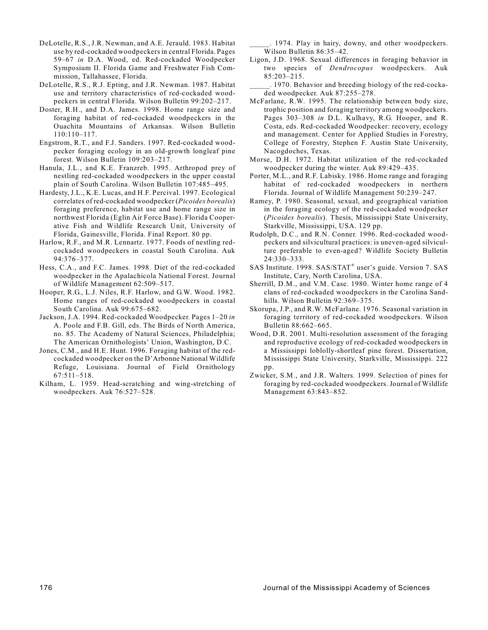- DeLotelle, R.S., J.R. Newman, and A.E. Jerauld. 1983. Habitat use by red-cockaded woodpeckers in central Florida. Pages 59–67 *in* D.A. Wood, ed. Red-cockaded Woodpecker Symposium II. Florida Game and Freshwater Fish Commission, Tallahassee, Florida.
- DeLotelle, R.S., R.J. Epting, and J.R. Newman. 1987. Habitat use and territory characteristics of red-cockaded woodpeckers in central Florida. Wilson Bulletin 99:202–217.
- Doster, R.H., and D.A. James. 1998. Home range size and foraging habitat of red-cockaded woodpeckers in the Ouachita Mountains of Arkansas. Wilson Bulletin 110:110–117.
- Engstrom, R.T., and F.J. Sanders. 1997. Red-cockaded woodpecker foraging ecology in an old-growth longleaf pine forest. Wilson Bulletin 109:203–217.
- Hanula, J.L., and K.E. Franzreb. 1995. Arthropod prey of nestling red-cockaded woodpeckers in the upper coastal plain of South Carolina. Wilson Bulletin 107:485–495.
- Hardesty, J.L., K.E. Lucas, and H.F. Percival. 1997. Ecological correlates of red-cockaded woodpecker (*Picoides borealis*) foraging preference, habitat use and home range size in northwest Florida (Eglin Air Force Base). Florida Cooperative Fish and Wildlife Research Unit, University of Florida, Gainesville, Florida. Final Report. 80 pp.
- Harlow, R.F., and M.R. Lennartz. 1977. Foods of nestling redcockaded woodpeckers in coastal South Carolina. Auk 94:376–377.
- Hess, C.A., and F.C. James. 1998. Diet of the red-cockaded woodpecker in the Apalachicola National Forest. Journal of Wildlife Management 62:509–517.
- Hooper, R.G., L.J. Niles, R.F. Harlow, and G.W. Wood. 1982. Home ranges of red-cockaded woodpeckers in coastal South Carolina. Auk 99:675–682.
- Jackson, J.A. 1994. Red-cockaded Woodpecker. Pages 1–20 *in* A. Poole and F.B. Gill, eds. The Birds of North America, no. 85. The Academy of Natural Sciences, Philadelphia; The American Ornithologists' Union, Washington, D.C.
- Jones, C.M., and H.E. Hunt. 1996. Foraging habitat of the redcockaded woodpecker on the D'Arbonne National Wildlife Refuge, Louisiana. Journal of Field Ornithology 67:511–518.
- Kilham, L. 1959. Head-scratching and wing-stretching of woodpeckers. Auk 76:527–528.

\_\_\_\_\_. 1974. Play in hairy, downy, and other woodpeckers. Wilson Bulletin 86:35–42.

- Ligon, J.D. 1968. Sexual differences in foraging behavior in two species of *Dendrocopus* woodpeckers. Auk 85:203–215.
- \_\_\_\_\_. 1970. Behavior and breeding biology of the red-cockaded woodpecker. Auk 87:255–278.
- McFarlane, R.W. 1995. The relationship between body size, trophic position and foraging territory among woodpeckers. Pages 303–308 *in* D.L. Kulhavy, R.G. Hooper, and R. Costa, eds. Red-cockaded Woodpecker: recovery, ecology and management. Center for Applied Studies in Forestry, College of Forestry, Stephen F. Austin State University, Nacogdoches, Texas.
- Morse, D.H. 1972. Habitat utilization of the red-cockaded woodpecker during the winter. Auk 89:429–435.
- Porter, M.L., and R.F. Labisky. 1986. Home range and foraging habitat of red-cockaded woodpeckers in northern Florida. Journal of Wildlife Management 50:239–247.
- Ramey, P. 1980. Seasonal, sexual, and geographical variation in the foraging ecology of the red-cockaded woodpecker (*Picoides borealis*). Thesis, Mississippi State University, Starkville, Mississippi, USA. 129 pp.
- Rudolph, D.C., and R.N. Conner. 1996. Red-cockaded woodpeckers and silvicultural practices: is uneven-aged silviculture preferable to even-aged? Wildlife Society Bulletin 24:330–333.
- SAS Institute. 1998. SAS/STAT<sup>®</sup> user's guide. Version 7. SAS Institute, Cary, North Carolina, USA.
- Sherrill, D.M., and V.M. Case. 1980. Winter home range of 4 clans of red-cockaded woodpeckers in the Carolina Sandhills. Wilson Bulletin 92:369–375.
- Skorupa, J.P., and R.W. McFarlane. 1976. Seasonal variation in foraging territory of red-cockaded woodpeckers. Wilson Bulletin 88:662–665.
- Wood, D.R. 2001. Multi-resolution assessment of the foraging and reproductive ecology of red-cockaded woodpeckers in a Mississippi loblolly-shortleaf pine forest. Dissertation, Mississippi State University, Starkville, Mississippi. 222 pp.
- Zwicker, S.M., and J.R. Walters. 1999. Selection of pines for foraging by red-cockaded woodpeckers. Journal of Wildlife Management 63:843–852.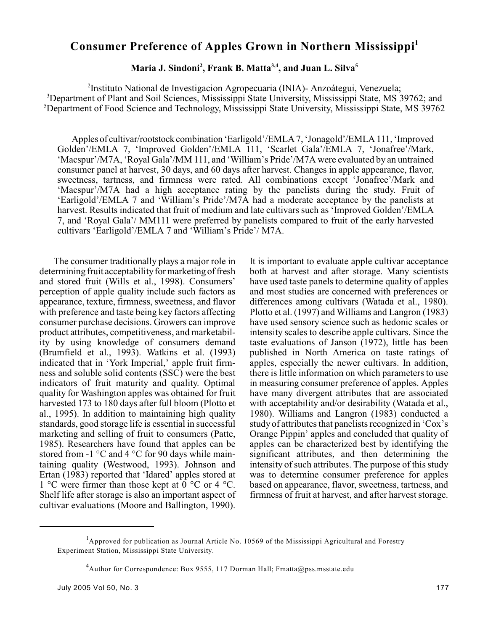# **Consumer Preference of Apples Grown in Northern Mississippi<sup>1</sup>**

# **Maria J. Sindoni<sup>2</sup>, Frank B. Matta<sup>3,4</sup>, and Juan L. Silva<sup>5</sup>**

<sup>2</sup>Instituto National de Investigacion Agropecuaria (INIA)- Anzoátegui, Venezuela; <sup>3</sup>Department of Plant and Soil Sciences, Mississippi State University, Mississippi State, MS 39762; and <sup>5</sup>Department of Food Science and Technology, Mississippi State University, Mississippi State, MS 39762

Apples of cultivar/rootstock combination 'Earligold'/EMLA 7, 'Jonagold'/EMLA 111, 'Improved Golden'/EMLA 7, 'Improved Golden'/EMLA 111, 'Scarlet Gala'/EMLA 7, 'Jonafree'/Mark, 'Macspur'/M7A, 'Royal Gala'/MM 111, and 'William's Pride'/M7A were evaluated by an untrained consumer panel at harvest, 30 days, and 60 days after harvest. Changes in apple appearance, flavor, sweetness, tartness, and firmness were rated. All combinations except 'Jonafree'/Mark and 'Macspur'/M7A had a high acceptance rating by the panelists during the study. Fruit of 'Earligold'/EMLA 7 and 'William's Pride'/M7A had a moderate acceptance by the panelists at harvest. Results indicated that fruit of medium and late cultivars such as 'Improved Golden'/EMLA 7, and 'Royal Gala'/ MM111 were preferred by panelists compared to fruit of the early harvested cultivars 'Earligold'/EMLA 7 and 'William's Pride'/ M7A.

The consumer traditionally plays a major role in determining fruit acceptability for marketing of fresh and stored fruit (Wills et al., 1998). Consumers' perception of apple quality include such factors as appearance, texture, firmness, sweetness, and flavor with preference and taste being key factors affecting consumer purchase decisions. Growers can improve product attributes, competitiveness, and marketability by using knowledge of consumers demand (Brumfield et al., 1993). Watkins et al. (1993) indicated that in 'York Imperial,' apple fruit firmness and soluble solid contents (SSC) were the best indicators of fruit maturity and quality. Optimal quality for Washington apples was obtained for fruit harvested 173 to 180 days after full bloom (Plotto et al., 1995). In addition to maintaining high quality standards, good storage life is essential in successful marketing and selling of fruit to consumers (Patte, 1985). Researchers have found that apples can be stored from  $-1$  °C and 4 °C for 90 days while maintaining quality (Westwood, 1993). Johnson and Ertan (1983) reported that 'Idared' apples stored at 1 °C were firmer than those kept at 0 °C or 4 °C. Shelf life after storage is also an important aspect of cultivar evaluations (Moore and Ballington, 1990). It is important to evaluate apple cultivar acceptance both at harvest and after storage. Many scientists have used taste panels to determine quality of apples and most studies are concerned with preferences or differences among cultivars (Watada et al., 1980). Plotto et al. (1997) and Williams and Langron (1983) have used sensory science such as hedonic scales or intensity scales to describe apple cultivars. Since the taste evaluations of Janson (1972), little has been published in North America on taste ratings of apples, especially the newer cultivars. In addition, there is little information on which parameters to use in measuring consumer preference of apples. Apples have many divergent attributes that are associated with acceptability and/or desirability (Watada et al., 1980). Williams and Langron (1983) conducted a study of attributes that panelists recognized in 'Cox's Orange Pippin' apples and concluded that quality of apples can be characterized best by identifying the significant attributes, and then determining the intensity of such attributes. The purpose of this study was to determine consumer preference for apples based on appearance, flavor, sweetness, tartness, and firmness of fruit at harvest, and after harvest storage.

<sup>&</sup>lt;sup>1</sup>Approved for publication as Journal Article No. 10569 of the Mississippi Agricultural and Forestry Experiment Station, Mississippi State University.

<sup>&</sup>lt;sup>4</sup> Author for Correspondence: Box 9555, 117 Dorman Hall; Fmatta@pss.msstate.edu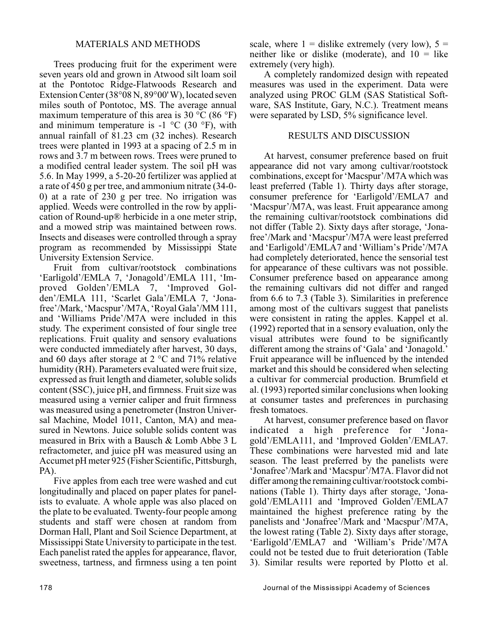## MATERIALS AND METHODS

Trees producing fruit for the experiment were seven years old and grown in Atwood silt loam soil at the Pontotoc Ridge-Flatwoods Research and Extension Center (38°08 N, 89°00' W), located seven miles south of Pontotoc, MS. The average annual maximum temperature of this area is 30  $^{\circ}$ C (86  $^{\circ}$ F) and minimum temperature is  $-1$  °C (30 °F), with annual rainfall of 81.23 cm (32 inches). Research trees were planted in 1993 at a spacing of 2.5 m in rows and 3.7 m between rows. Trees were pruned to a modified central leader system. The soil pH was 5.6. In May 1999, a 5-20-20 fertilizer was applied at a rate of 450 g per tree, and ammonium nitrate (34-0- 0) at a rate of 230 g per tree. No irrigation was applied. Weeds were controlled in the row by application of Round-up® herbicide in a one meter strip, and a mowed strip was maintained between rows. Insects and diseases were controlled through a spray program as recommended by Mississippi State University Extension Service.

Fruit from cultivar/rootstock combinations 'Earligold'/EMLA 7, 'Jonagold'/EMLA 111, 'Improved Golden'/EMLA 7, 'Improved Golden'/EMLA 111, 'Scarlet Gala'/EMLA 7, 'Jonafree'/Mark, 'Macspur'/M7A, 'Royal Gala'/MM 111, and 'Williams Pride'/M7A were included in this study. The experiment consisted of four single tree replications. Fruit quality and sensory evaluations were conducted immediately after harvest, 30 days, and 60 days after storage at 2 °C and 71% relative humidity (RH). Parameters evaluated were fruit size, expressed as fruit length and diameter, soluble solids content (SSC), juice pH, and firmness. Fruit size was measured using a vernier caliper and fruit firmness was measured using a penetrometer (Instron Universal Machine, Model 1011, Canton, MA) and measured in Newtons. Juice soluble solids content was measured in Brix with a Bausch & Lomb Abbe 3 L refractometer, and juice pH was measured using an Accumet pH meter 925 (Fisher Scientific, Pittsburgh, PA).

Five apples from each tree were washed and cut longitudinally and placed on paper plates for panelists to evaluate. A whole apple was also placed on the plate to be evaluated. Twenty-four people among students and staff were chosen at random from Dorman Hall, Plant and Soil Science Department, at Mississippi State University to participate in the test. Each panelist rated the apples for appearance, flavor, sweetness, tartness, and firmness using a ten point

scale, where  $1 =$  dislike extremely (very low),  $5 =$ neither like or dislike (moderate), and  $10 =$  like extremely (very high).

A completely randomized design with repeated measures was used in the experiment. Data were analyzed using PROC GLM (SAS Statistical Software, SAS Institute, Gary, N.C.). Treatment means were separated by LSD, 5% significance level.

## RESULTS AND DISCUSSION

At harvest, consumer preference based on fruit appearance did not vary among cultivar/rootstock combinations, except for 'Macspur'/M7A which was least preferred (Table 1). Thirty days after storage, consumer preference for 'Earligold'/EMLA7 and 'Macspur'/M7A, was least. Fruit appearance among the remaining cultivar/rootstock combinations did not differ (Table 2). Sixty days after storage, 'Jonafree'/Mark and 'Macspur'/M7A were least preferred and 'Earligold'/EMLA7 and 'William's Pride'/M7A had completely deteriorated, hence the sensorial test for appearance of these cultivars was not possible. Consumer preference based on appearance among the remaining cultivars did not differ and ranged from 6.6 to 7.3 (Table 3). Similarities in preference among most of the cultivars suggest that panelists were consistent in rating the apples. Kappel et al. (1992) reported that in a sensory evaluation, only the visual attributes were found to be significantly different among the strains of 'Gala' and 'Jonagold.' Fruit appearance will be influenced by the intended market and this should be considered when selecting a cultivar for commercial production. Brumfield et al. (1993) reported similar conclusions when looking at consumer tastes and preferences in purchasing fresh tomatoes.

At harvest, consumer preference based on flavor indicated a high preference for 'Jonagold'/EMLA111, and 'Improved Golden'/EMLA7. These combinations were harvested mid and late season. The least preferred by the panelists were 'Jonafree'/Mark and 'Macspur'/M7A. Flavor did not differ among the remaining cultivar/rootstock combinations (Table 1). Thirty days after storage, 'Jonagold'/EMLA111 and 'Improved Golden'/EMLA7 maintained the highest preference rating by the panelists and 'Jonafree'/Mark and 'Macspur'/M7A, the lowest rating (Table 2). Sixty days after storage, 'Earligold'/EMLA7 and 'William's Pride'/M7A could not be tested due to fruit deterioration (Table 3). Similar results were reported by Plotto et al.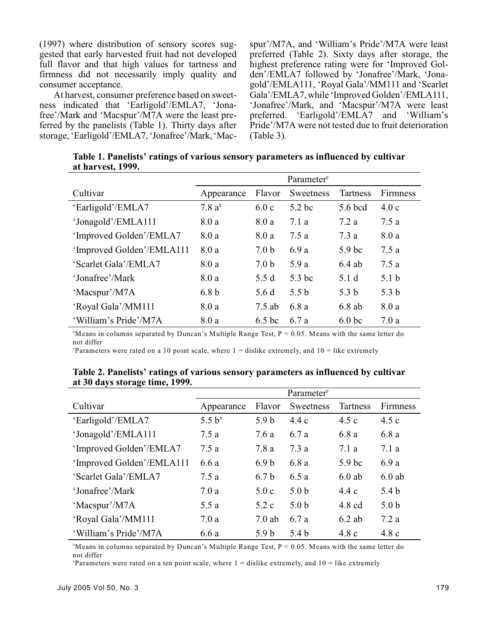(1997) where distribution of sensory scores suggested that early harvested fruit had not developed full flavor and that high values for tartness and firmness did not necessarily imply quality and consumer acceptance.

At harvest, consumer preference based on sweetness indicated that 'Earligold'/EMLA7, 'Jonafree'/Mark and 'Macspur'/M7A were the least preferred by the panelists (Table 1). Thirty days after storage, 'Earligold'/EMLA7, 'Jonafree'/Mark, 'Macspur'/M7A, and 'William's Pride'/M7A were least preferred (Table 2). Sixty days after storage, the highest preference rating were for 'Improved Golden'/EMLA7 followed by 'Jonafree'/Mark, 'Jonagold'/EMLA111, 'Royal Gala'/MM111 and 'Scarlet Gala'/EMLA7, while 'Improved Golden'/EMLA111, 'Jonafree'/Mark, and 'Macspur'/M7A were least preferred. 'Earligold'/EMLA7 and 'William's Pride'/M7A were not tested due to fruit deterioration (Table 3).

**Table 1. Panelists' ratings of various sensory parameters as influenced by cultivar at harvest, 1999.**

|                           | Parameter <sup>y</sup> |                   |                  |                   |                  |
|---------------------------|------------------------|-------------------|------------------|-------------------|------------------|
| Cultivar                  | Appearance             | Flavor            | Sweetness        | <b>Tartness</b>   | <b>Firmness</b>  |
| 'Earligold'/EMLA7         | $7.8a^x$               | 6.0c              | $5.2$ bc         | 5.6 bcd           | 4.0c             |
| 'Jonagold'/EMLA111        | 8.0a                   | 8.0 a             | 7.1 a            | 7.2a              | 7.5a             |
| 'Improved Golden'/EMLA7   | 8.0a                   | 8.0 a             | 7.5a             | 7.3 a             | 8.0 a            |
| 'Improved Golden'/EMLA111 | 8.0 a                  | 7.0 <sub>b</sub>  | 6.9 a            | 5.9 <sub>bc</sub> | 7.5a             |
| 'Scarlet Gala'/EMLA7      | 8.0 a                  | 7.0 <sub>b</sub>  | 5.9 a            | $6.4$ ab          | 7.5a             |
| 'Jonafree'/Mark           | 8.0 a                  | 5.5 d             | 5.3 bc           | 5.1 <sub>d</sub>  | 5.1 <sub>b</sub> |
| 'Macspur'/M7A             | 6.8 <sub>b</sub>       | 5.6 d             | 5.5 <sub>b</sub> | 5.3 <sub>b</sub>  | 5.3 <sub>b</sub> |
| 'Royal Gala'/MM111        | 8.0 a                  | 7.5 ab            | 6.8a             | $6.8$ ab          | 8.0 a            |
| 'William's Pride'/M7A     | 8.0 a                  | 6.5 <sub>bc</sub> | 6.7 a            | 6.0 <sub>bc</sub> | 7.0a             |

 $M$ eans in columns separated by Duncan's Multiple Range Test,  $P < 0.05$ . Means with the same letter do not differ

Parameters were rated on a 10 point scale, where  $1 =$  dislike extremely, and  $10 =$  like extremely

|                           | Parameter <sup>y</sup> |                  |                  |                   |                  |
|---------------------------|------------------------|------------------|------------------|-------------------|------------------|
| Cultivar                  | Appearance             | Flavor           | Sweetness        | <b>Tartness</b>   | Firmness         |
| 'Earligold'/EMLA7         | 5.5 $b^x$              | 5.9 <sub>b</sub> | 4.4c             | 4.5c              | 4.5c             |
| 'Jonagold'/EMLA111        | 7.5 a                  | 7.6 a            | 6.7 a            | 6.8 a             | 6.8a             |
| 'Improved Golden'/EMLA7   | 7.5 a                  | 7.8 a            | 7.3a             | 7.1 a             | 7.1a             |
| 'Improved Golden'/EMLA111 | 6.6 a                  | 6.9 <sub>b</sub> | 6.8 a            | 5.9 <sub>bc</sub> | 6.9 a            |
| 'Scarlet Gala'/EMLA7      | 7.5 a                  | 6.7 <sub>b</sub> | 6.5a             | $6.0$ ab          | $6.0$ ab         |
| 'Jonafree'/Mark           | 7.0a                   | 5.0c             | 5.0 <sub>b</sub> | 4.4c              | 5.4 <sub>b</sub> |
| 'Macspur'/M7A             | 5.5 a                  | 5.2c             | 5.0 <sub>b</sub> | $4.8 \text{ cd}$  | 5.0 <sub>b</sub> |
| 'Royal Gala'/MM111        | 7.0a                   | $7.0$ ab         | 6.7 a            | $6.2$ ab          | 7.2a             |
| 'William's Pride'/M7A     | 6.6 a                  | 5.9 <sub>b</sub> | 5.4 <sub>b</sub> | 4.8c              | 4.8c             |

**Table 2. Panelists' ratings of various sensory parameters as influenced by cultivar at 30 days storage time, 1999.**

 $M$ eans in columns separated by Duncan's Multiple Range Test,  $P < 0.05$ . Means with the same letter do not differ

Parameters were rated on a ten point scale, where  $1 =$  dislike extremely, and  $10 =$  like extremely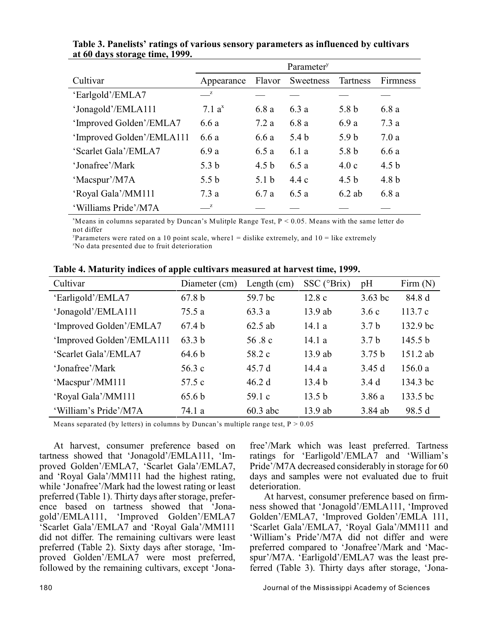|                           | Parameter <sup>y</sup> |                  |           |                  |                  |
|---------------------------|------------------------|------------------|-----------|------------------|------------------|
| Cultivar                  | Appearance             | Flavor           | Sweetness | Tartness         | <b>Firmness</b>  |
| 'Earlgold'/EMLA7          | $\mathbb{Z}$           |                  |           |                  |                  |
| 'Jonagold'/EMLA111        | 7.1 $a^x$              | 6.8 a            | 6.3 a     | 5.8 b            | 6.8 a            |
| 'Improved Golden'/EMLA7   | 6.6a                   | 7.2a             | 6.8 a     | 6.9a             | 7.3a             |
| 'Improved Golden'/EMLA111 | 6.6 a                  | 6.6 a            | 5.4 b     | 5.9 <sub>b</sub> | 7.0a             |
| 'Scarlet Gala'/EMLA7      | 6.9 a                  | 6.5a             | 6.1 a     | 5.8 b            | 6.6 a            |
| 'Jonafree'/Mark           | 5.3 <sub>b</sub>       | 4.5 <sub>b</sub> | 6.5 a     | 4.0c             | 4.5 <sub>b</sub> |
| 'Macspur'/M7A             | 5.5 <sub>b</sub>       | 5.1 <sub>b</sub> | 4.4c      | 4.5 <sub>b</sub> | 4.8 <sub>b</sub> |
| 'Royal Gala'/MM111        | 7.3a                   | 6.7 a            | 6.5 a     | $6.2$ ab         | 6.8 a            |
| 'Williams Pride'/M7A      | $\mathbb{Z}$           |                  |           |                  |                  |

**Table 3. Panelists' ratings of various sensory parameters as influenced by cultivars at 60 days storage time, 1999.**

 $M$ eans in columns separated by Duncan's Mulitple Range Test,  $P < 0.05$ . Means with the same letter do not differ

Parameters were rated on a 10 point scale, where  $1 =$  dislike extremely, and  $10 =$  like extremely <sup>2</sup>No data presented due to fruit deterioration

| Cultivar                  | Diameter (cm)     | Length $(cm)$ | SSC (°Brix)       | pH               | Firm $(N)$ |
|---------------------------|-------------------|---------------|-------------------|------------------|------------|
| 'Earligold'/EMLA7         | 67.8 <sub>b</sub> | 59.7 bc       | 12.8c             | $3.63$ bc        | 84.8 d     |
| 'Jonagold'/EMLA111        | 75.5 a            | 63.3a         | $13.9$ ab         | 3.6c             | 113.7c     |
| 'Improved Golden'/EMLA7   | 67.4 b            | 62.5 ab       | 14.1a             | 3.7 <sub>b</sub> | 132.9 bc   |
| 'Improved Golden'/EMLA111 | 63.3 b            | 56.8 c        | 14.1a             | 3.7 <sub>b</sub> | 145.5 b    |
| 'Scarlet Gala'/EMLA7      | 64.6 <sub>b</sub> | 58.2 c        | $13.9$ ab         | 3.75 b           | 151.2 ab   |
| 'Jonafree'/Mark           | 56.3c             | 45.7d         | 14.4a             | 3.45d            | 156.0a     |
| 'Macspur'/MM111           | 57.5 c            | 46.2 d        | 13.4 <sub>b</sub> | 3.4d             | 134.3 bc   |
| 'Royal Gala'/MM111        | 65.6 <sub>b</sub> | 59.1 c        | 13.5 <sub>b</sub> | 3.86a            | 133.5 bc   |
| 'William's Pride'/M7A     | 74.1 a            | $60.3$ abc    | 13.9 ab           | 3.84 ab          | 98.5 d     |

**Table 4. Maturity indices of apple cultivars measured at harvest time, 1999.**

Means separated (by letters) in columns by Duncan's multiple range test,  $P > 0.05$ 

At harvest, consumer preference based on tartness showed that 'Jonagold'/EMLA111, 'Improved Golden'/EMLA7, 'Scarlet Gala'/EMLA7, and 'Royal Gala'/MM111 had the highest rating, while 'Jonafree'/Mark had the lowest rating or least preferred (Table 1). Thirty days after storage, preference based on tartness showed that 'Jonagold'/EMLA111, 'Improved Golden'/EMLA7 'Scarlet Gala'/EMLA7 and 'Royal Gala'/MM111 did not differ. The remaining cultivars were least preferred (Table 2). Sixty days after storage, 'Improved Golden'/EMLA7 were most preferred, followed by the remaining cultivars, except 'Jonafree'/Mark which was least preferred. Tartness ratings for 'Earligold'/EMLA7 and 'William's Pride'/M7A decreased considerably in storage for 60 days and samples were not evaluated due to fruit deterioration.

At harvest, consumer preference based on firmness showed that 'Jonagold'/EMLA111, 'Improved Golden'/EMLA7, 'Improved Golden'/EMLA 111, 'Scarlet Gala'/EMLA7, 'Royal Gala'/MM111 and 'William's Pride'/M7A did not differ and were preferred compared to 'Jonafree'/Mark and 'Macspur'/M7A. 'Earligold'/EMLA7 was the least preferred (Table 3). Thirty days after storage, 'Jona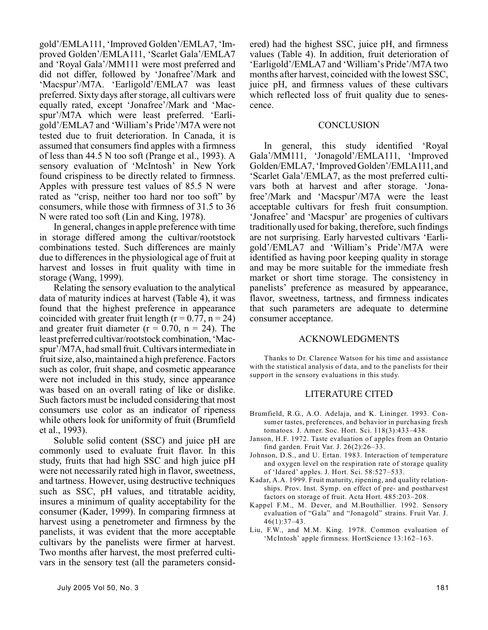gold'/EMLA111, 'Improved Golden'/EMLA7, 'Improved Golden'/EMLA111, 'Scarlet Gala'/EMLA7 and 'Royal Gala'/MM111 were most preferred and did not differ, followed by 'Jonafree'/Mark and 'Macspur'/M7A. 'Earligold'/EMLA7 was least preferred. Sixty days after storage, all cultivars were equally rated, except 'Jonafree'/Mark and 'Macspur'/M7A which were least preferred. 'Earligold'/EMLA7 and 'William's Pride'/M7A were not tested due to fruit deterioration. In Canada, it is assumed that consumers find apples with a firmness of less than 44.5 N too soft (Prange et al., 1993). A sensory evaluation of 'McIntosh' in New York found crispiness to be directly related to firmness. Apples with pressure test values of 85.5 N were rated as "crisp, neither too hard nor too soft" by consumers, while those with firmness of 31.5 to 36 N were rated too soft (Lin and King, 1978).

In general, changes in apple preference with time in storage differed among the cultivar/rootstock combinations tested. Such differences are mainly due to differences in the physiological age of fruit at harvest and losses in fruit quality with time in storage (Wang, 1999).

Relating the sensory evaluation to the analytical data of maturity indices at harvest (Table 4), it was found that the highest preference in appearance coincided with greater fruit length ( $r = 0.77$ ,  $n = 24$ ) and greater fruit diameter ( $r = 0.70$ ,  $n = 24$ ). The least preferred cultivar/rootstock combination, 'Macspur'/M7A, had small fruit. Cultivars intermediate in fruit size, also, maintained a high preference. Factors such as color, fruit shape, and cosmetic appearance were not included in this study, since appearance was based on an overall rating of like or dislike. Such factors must be included considering that most consumers use color as an indicator of ripeness while others look for uniformity of fruit (Brumfield et al., 1993).

Soluble solid content (SSC) and juice pH are commonly used to evaluate fruit flavor. In this study, fruits that had high SSC and high juice pH were not necessarily rated high in flavor, sweetness, and tartness. However, using destructive techniques such as SSC, pH values, and titratable acidity, insures a minimum of quality acceptability for the consumer (Kader, 1999). In comparing firmness at harvest using a penetrometer and firmness by the panelists, it was evident that the more acceptable cultivars by the panelists were firmer at harvest. Two months after harvest, the most preferred cultivars in the sensory test (all the parameters considered) had the highest SSC, juice pH, and firmness values (Table 4). In addition, fruit deterioration of 'Earligold'/EMLA7 and 'William's Pride'/M7A two months after harvest, coincided with the lowest SSC, juice pH, and firmness values of these cultivars which reflected loss of fruit quality due to senescence.

#### **CONCLUSION**

In general, this study identified 'Royal Gala'/MM111, 'Jonagold'/EMLA111, 'Improved Golden/EMLA7, 'Improved Golden'/EMLA111, and 'Scarlet Gala'/EMLA7, as the most preferred cultivars both at harvest and after storage. 'Jonafree'/Mark and 'Macspur'/M7A were the least acceptable cultivars for fresh fruit consumption. 'Jonafree' and 'Macspur' are progenies of cultivars traditionally used for baking, therefore, such findings are not surprising. Early harvested cultivars 'Earligold'/EMLA7 and 'William's Pride'/M7A were identified as having poor keeping quality in storage and may be more suitable for the immediate fresh market or short time storage. The consistency in panelists' preference as measured by appearance, flavor, sweetness, tartness, and firmness indicates that such parameters are adequate to determine consumer acceptance.

#### ACKNOWLEDGMENTS

Thanks to Dr. Clarence Watson for his time and assistance with the statistical analysis of data, and to the panelists for their support in the sensory evaluations in this study.

## LITERATURE CITED

- Brumfield, R.G., A.O. Adelaja, and K. Lininger. 1993. Consumer tastes, preferences, and behavior in purchasing fresh tomatoes. J. Amer. Soc. Hort. Sci. 118(3):433–438.
- Janson, H.F. 1972. Taste evaluation of apples from an Ontario find garden. Fruit Var. J. 26(2):26–33.
- Johnson, D.S., and U. Ertan. 1983. Interaction of temperature and oxygen level on the respiration rate of storage quality of 'Idared' apples. J. Hort. Sci. 58:527–533.
- Kadar, A.A. 1999. Fruit maturity, ripening, and quality relationships. Prov. Inst. Symp. on effect of pre- and postharvest factors on storage of fruit. Acta Hort. 485:203–208.
- Kappel F.M., M. Dever, and M.Bouthillier. 1992. Sensory evaluation of "Gala" and "Jonagold" strains. Fruit Var. J. 46(1):37–43.
- Liu, F.W., and M.M. King. 1978. Common evaluation of 'McIntosh' apple firmness. HortScience 13:162–163.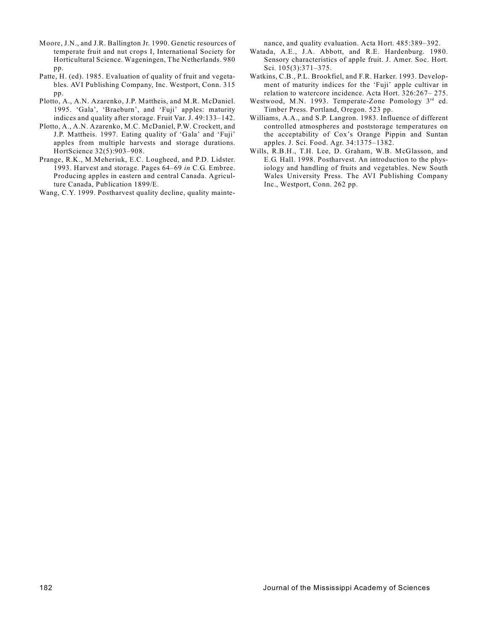- Moore, J.N., and J.R. Ballington Jr. 1990. Genetic resources of temperate fruit and nut crops I, International Society for Horticultural Science. Wageningen, The Netherlands. 980 pp.
- Patte, H. (ed). 1985. Evaluation of quality of fruit and vegetables. AVI Publishing Company, Inc. Westport, Conn. 315 pp.
- Plotto, A., A.N. Azarenko, J.P. Mattheis, and M.R. McDaniel. 1995. 'Gala', 'Braeburn', and 'Fuji' apples: maturity indices and quality after storage. Fruit Var. J. 49:133–142.
- Plotto, A., A.N. Azarenko, M.C. McDaniel, P.W. Crockett, and J.P. Mattheis. 1997. Eating quality of 'Gala' and 'Fuji' apples from multiple harvests and storage durations. HortScience 32(5):903–908.
- Prange, R.K., M.Meheriuk, E.C. Lougheed, and P.D. Lidster. 1993. Harvest and storage. Pages 64–69 *in* C.G. Embree. Producing apples in eastern and central Canada. Agriculture Canada, Publication 1899/E.

Wang, C.Y. 1999. Postharvest quality decline, quality mainte-

nance, and quality evaluation. Acta Hort. 485:389–392.

- Watada, A.E., J.A. Abbott, and R.E. Hardenburg. 1980. Sensory characteristics of apple fruit. J. Amer. Soc. Hort. Sci. 105(3):371–375.
- Watkins, C.B., P.L. Brookfiel, and F.R. Harker. 1993. Development of maturity indices for the 'Fuji' apple cultivar in relation to watercore incidence. Acta Hort. 326:267– 275.
- Westwood, M.N. 1993. Temperate-Zone Pomology 3<sup>rd</sup> ed. Timber Press. Portland, Oregon. 523 pp.
- Williams, A.A., and S.P. Langron. 1983. Influence of different controlled atmospheres and poststorage temperatures on the acceptability of Cox's Orange Pippin and Suntan apples. J. Sci. Food. Agr. 34:1375–1382.
- Wills, R.B.H., T.H. Lee, D. Graham, W.B. McGlasson, and E.G. Hall. 1998. Postharvest. An introduction to the physiology and handling of fruits and vegetables. New South Wales University Press. The AVI Publishing Company Inc., Westport, Conn. 262 pp.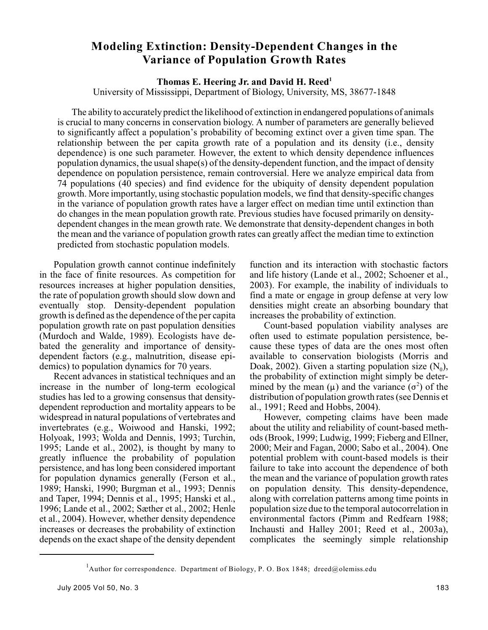# **Modeling Extinction: Density-Dependent Changes in the Variance of Population Growth Rates**

# **Thomas E. Heering Jr. and David H. Reed<sup>1</sup>**

University of Mississippi, Department of Biology, University, MS, 38677-1848

The ability to accurately predict the likelihood of extinction in endangered populations of animals is crucial to many concerns in conservation biology. A number of parameters are generally believed to significantly affect a population's probability of becoming extinct over a given time span. The relationship between the per capita growth rate of a population and its density (i.e., density dependence) is one such parameter. However, the extent to which density dependence influences population dynamics, the usual shape(s) of the density-dependent function, and the impact of density dependence on population persistence, remain controversial. Here we analyze empirical data from 74 populations (40 species) and find evidence for the ubiquity of density dependent population growth. More importantly, using stochastic population models, we find that density-specific changes in the variance of population growth rates have a larger effect on median time until extinction than do changes in the mean population growth rate. Previous studies have focused primarily on densitydependent changes in the mean growth rate. We demonstrate that density-dependent changes in both the mean and the variance of population growth rates can greatly affect the median time to extinction predicted from stochastic population models.

Population growth cannot continue indefinitely in the face of finite resources. As competition for resources increases at higher population densities, the rate of population growth should slow down and eventually stop. Density-dependent population growth is defined as the dependence of the per capita population growth rate on past population densities (Murdoch and Walde, 1989). Ecologists have debated the generality and importance of densitydependent factors (e.g., malnutrition, disease epidemics) to population dynamics for 70 years.

Recent advances in statistical techniques and an increase in the number of long-term ecological studies has led to a growing consensus that densitydependent reproduction and mortality appears to be widespread in natural populations of vertebrates and invertebrates (e.g., Woiwood and Hanski, 1992; Holyoak, 1993; Wolda and Dennis, 1993; Turchin, 1995; Lande et al., 2002), is thought by many to greatly influence the probability of population persistence, and has long been considered important for population dynamics generally (Ferson et al., 1989; Hanski, 1990; Burgman et al., 1993; Dennis and Taper, 1994; Dennis et al., 1995; Hanski et al., 1996; Lande et al., 2002; Sæther et al., 2002; Henle et al., 2004). However, whether density dependence increases or decreases the probability of extinction depends on the exact shape of the density dependent function and its interaction with stochastic factors and life history (Lande et al., 2002; Schoener et al., 2003). For example, the inability of individuals to find a mate or engage in group defense at very low densities might create an absorbing boundary that increases the probability of extinction.

Count-based population viability analyses are often used to estimate population persistence, because these types of data are the ones most often available to conservation biologists (Morris and Doak, 2002). Given a starting population size  $(N_0)$ , the probability of extinction might simply be determined by the mean  $(\mu)$  and the variance  $(\sigma^2)$  of the distribution of population growth rates (see Dennis et al., 1991; Reed and Hobbs, 2004).

However, competing claims have been made about the utility and reliability of count-based methods(Brook, 1999; Ludwig, 1999; Fieberg and Ellner, 2000; Meir and Fagan, 2000; Sabo et al., 2004). One potential problem with count-based models is their failure to take into account the dependence of both the mean and the variance of population growth rates on population density. This density-dependence, along with correlation patterns among time points in population size due to the temporal autocorrelation in environmental factors (Pimm and Redfearn 1988; Inchausti and Halley 2001; Reed et al., 2003a), complicates the seemingly simple relationship

<sup>&</sup>lt;sup>1</sup>Author for correspondence. Department of Biology, P. O. Box 1848; dreed@olemiss.edu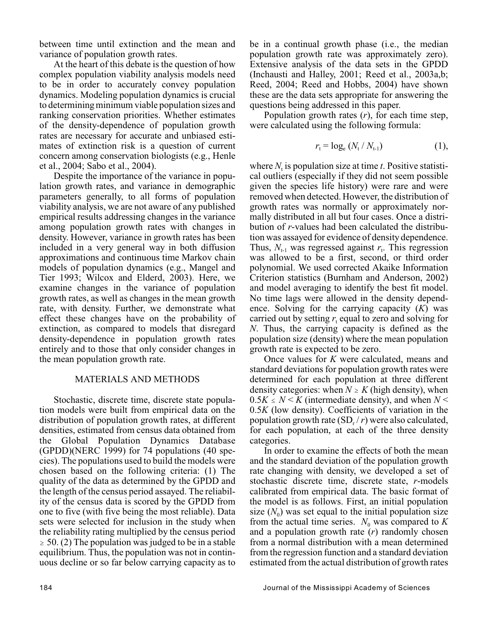between time until extinction and the mean and variance of population growth rates.

At the heart of this debate is the question of how complex population viability analysis models need to be in order to accurately convey population dynamics. Modeling population dynamics is crucial to determining minimum viable population sizes and ranking conservation priorities. Whether estimates of the density-dependence of population growth rates are necessary for accurate and unbiased estimates of extinction risk is a question of current concern among conservation biologists (e.g., Henle et al., 2004; Sabo et al., 2004).

Despite the importance of the variance in population growth rates, and variance in demographic parameters generally, to all forms of population viability analysis, we are not aware of any published empirical results addressing changes in the variance among population growth rates with changes in density. However, variance in growth rates has been included in a very general way in both diffusion approximations and continuous time Markov chain models of population dynamics (e.g., Mangel and Tier 1993; Wilcox and Elderd, 2003). Here, we examine changes in the variance of population growth rates, as well as changes in the mean growth rate, with density. Further, we demonstrate what effect these changes have on the probability of extinction, as compared to models that disregard density-dependence in population growth rates entirely and to those that only consider changes in the mean population growth rate.

## MATERIALS AND METHODS

Stochastic, discrete time, discrete state population models were built from empirical data on the distribution of population growth rates, at different densities, estimated from census data obtained from the Global Population Dynamics Database (GPDD)(NERC 1999) for 74 populations (40 species). The populations used to build the models were chosen based on the following criteria: (1) The quality of the data as determined by the GPDD and the length of the census period assayed. The reliability of the census data is scored by the GPDD from one to five (with five being the most reliable). Data sets were selected for inclusion in the study when the reliability rating multiplied by the census period  $\ge$  50. (2) The population was judged to be in a stable equilibrium. Thus, the population was not in continuous decline or so far below carrying capacity as to be in a continual growth phase (i.e., the median population growth rate was approximately zero). Extensive analysis of the data sets in the GPDD (Inchausti and Halley, 2001; Reed et al., 2003a,b; Reed, 2004; Reed and Hobbs, 2004) have shown these are the data sets appropriate for answering the questions being addressed in this paper.

Population growth rates (*r*), for each time step, were calculated using the following formula:

$$
r_{\rm t} = \log_{\rm e} (N_{\rm t}/N_{\rm t-1}) \tag{1}
$$

where  $N_t$  is population size at time  $t$ . Positive statistical outliers (especially if they did not seem possible given the species life history) were rare and were removed when detected. However, the distribution of growth rates was normally or approximately normally distributed in all but four cases. Once a distribution of *r*-values had been calculated the distribution was assayed for evidence of density dependence. Thus,  $N_{t-1}$  was regressed against  $r_t$ . This regression was allowed to be a first, second, or third order polynomial. We used corrected Akaike Information Criterion statistics (Burnham and Anderson, 2002) and model averaging to identify the best fit model. No time lags were allowed in the density dependence. Solving for the carrying capacity (*K*) was carried out by setting  $r_t$  equal to zero and solving for *N*. Thus, the carrying capacity is defined as the population size (density) where the mean population growth rate is expected to be zero.

Once values for *K* were calculated, means and standard deviations for population growth rates were determined for each population at three different density categories: when  $N \ge K$  (high density), when  $0.5K \le N \le K$  (intermediate density), and when  $N \le$ 0.5*K* (low density). Coefficients of variation in the population growth rate (SD<sub>r</sub> / *r*) were also calculated, for each population, at each of the three density categories.

In order to examine the effects of both the mean and the standard deviation of the population growth rate changing with density, we developed a set of stochastic discrete time, discrete state, *r*-models calibrated from empirical data. The basic format of the model is as follows. First, an initial population size  $(N_0)$  was set equal to the initial population size from the actual time series.  $N_0$  was compared to  $K$ and a population growth rate (*r*) randomly chosen from a normal distribution with a mean determined from the regression function and a standard deviation estimated from the actual distribution of growth rates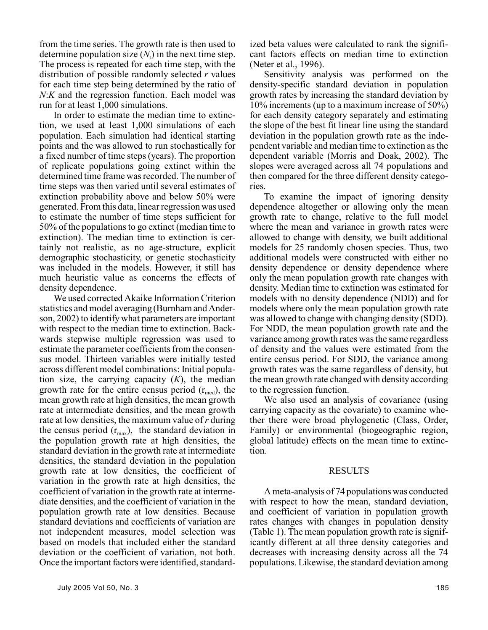from the time series. The growth rate is then used to determine population size  $(N_t)$  in the next time step. The process is repeated for each time step, with the distribution of possible randomly selected *r* values for each time step being determined by the ratio of *N*:*K* and the regression function. Each model was run for at least 1,000 simulations.

In order to estimate the median time to extinction, we used at least 1,000 simulations of each population. Each simulation had identical starting points and the was allowed to run stochastically for a fixed number of time steps (years). The proportion of replicate populations going extinct within the determined time frame was recorded. The number of time steps was then varied until several estimates of extinction probability above and below 50% were generated. From this data, linearregression was used to estimate the number of time steps sufficient for 50% of the populations to go extinct (median time to extinction). The median time to extinction is certainly not realistic, as no age-structure, explicit demographic stochasticity, or genetic stochasticity was included in the models. However, it still has much heuristic value as concerns the effects of density dependence.

We used corrected Akaike Information Criterion statistics and model averaging (Burnham and Anderson, 2002) to identify what parameters are important with respect to the median time to extinction. Backwards stepwise multiple regression was used to estimate the parameter coefficients from the consensus model. Thirteen variables were initially tested across different model combinations: Initial population size, the carrying capacity (*K*), the median growth rate for the entire census period  $(r_{med})$ , the mean growth rate at high densities, the mean growth rate at intermediate densities, and the mean growth rate at low densities, the maximum value of *r* during the census period  $(r_{\text{max}})$ , the standard deviation in the population growth rate at high densities, the standard deviation in the growth rate at intermediate densities, the standard deviation in the population growth rate at low densities, the coefficient of variation in the growth rate at high densities, the coefficient of variation in the growth rate at intermediate densities, and the coefficient of variation in the population growth rate at low densities. Because standard deviations and coefficients of variation are not independent measures, model selection was based on models that included either the standard deviation or the coefficient of variation, not both. Once the important factors were identified, standardized beta values were calculated to rank the significant factors effects on median time to extinction (Neter et al., 1996).

Sensitivity analysis was performed on the density-specific standard deviation in population growth rates by increasing the standard deviation by 10% increments (up to a maximum increase of 50%) for each density category separately and estimating the slope of the best fit linear line using the standard deviation in the population growth rate as the independent variable and median time to extinction as the dependent variable (Morris and Doak, 2002). The slopes were averaged across all 74 populations and then compared for the three different density categories.

To examine the impact of ignoring density dependence altogether or allowing only the mean growth rate to change, relative to the full model where the mean and variance in growth rates were allowed to change with density, we built additional models for 25 randomly chosen species. Thus, two additional models were constructed with either no density dependence or density dependence where only the mean population growth rate changes with density. Median time to extinction was estimated for models with no density dependence (NDD) and for models where only the mean population growth rate was allowed to change with changing density (SDD). For NDD, the mean population growth rate and the variance among growth rates was the same regardless of density and the values were estimated from the entire census period. For SDD, the variance among growth rates was the same regardless of density, but the mean growth rate changed with density according to the regression function.

We also used an analysis of covariance (using carrying capacity as the covariate) to examine whether there were broad phylogenetic (Class, Order, Family) or environmental (biogeographic region, global latitude) effects on the mean time to extinction.

#### RESULTS

A meta-analysis of 74 populations was conducted with respect to how the mean, standard deviation, and coefficient of variation in population growth rates changes with changes in population density (Table 1). The mean population growth rate is significantly different at all three density categories and decreases with increasing density across all the 74 populations. Likewise, the standard deviation among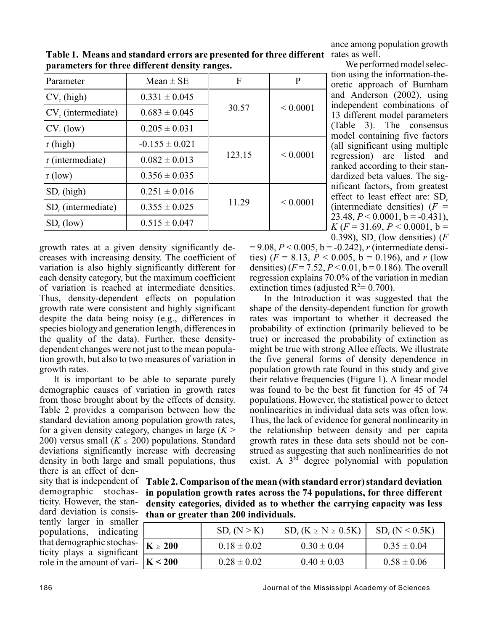ance among population growth

We performed model selection using the information-theoretic approach of Burnham and Anderson (2002), using independent combinations of 13 different model parameters (Table 3). The consensus model containing five factors (all significant using multiple regression) are listed and ranked according to their standardized beta values. The significant factors, from greatest effect to least effect are: SD<sub>r</sub> (intermediate densities)  $(F =$ 23.48,  $P < 0.0001$ ,  $b = -0.431$ ),  $K (F = 31.69, P < 0.0001, b =$ 

| Parameter                      | Mean $\pm$ SE      | $\mathbf{F}$ | P            |
|--------------------------------|--------------------|--------------|--------------|
| $CV_r$ (high)                  | $0.331 \pm 0.045$  |              |              |
| $CV_r$ (intermediate)          | $0.683 \pm 0.045$  | 30.57        | ${}< 0.0001$ |
| $CV_r$ (low)                   | $0.205 \pm 0.031$  |              |              |
| r (high)                       | $-0.155 \pm 0.021$ |              |              |
| r (intermediate)               | $0.082 \pm 0.013$  | 123.15       | ${}< 0.0001$ |
| r (low)                        | $0.356 \pm 0.035$  |              |              |
| $SD_r$ (high)                  | $0.251 \pm 0.016$  |              |              |
| SD <sub>r</sub> (intermediate) | $0.355 \pm 0.025$  | 11.29        | ${}< 0.0001$ |
| $SD_r$ (low)                   | $0.515 \pm 0.047$  |              |              |

Table 1. Means and standard errors are presented for three different rates as well. **parameters for three different density ranges.**

growth rates at a given density significantly decreases with increasing density. The coefficient of variation is also highly significantly different for each density category, but the maximum coefficient of variation is reached at intermediate densities. Thus, density-dependent effects on population growth rate were consistent and highly significant despite the data being noisy (e.g., differences in species biology and generation length, differences in the quality of the data). Further, these densitydependent changes were not just to themean population growth, but also to two measures of variation in growth rates.

It is important to be able to separate purely demographic causes of variation in growth rates from those brought about by the effects of density. Table 2 provides a comparison between how the standard deviation among population growth rates, for a given density category, changes in large  $(K >$ 200) versus small  $(K \le 200)$  populations. Standard deviations significantly increase with decreasing density in both large and small populations, thus there is an effect of den-

demographic stochasticity. However, the standard deviation is consistently larger in smaller populations, indicating that demographic stochasticity plays a significant role in the amount of vari-

0.398), SD<sub>r</sub> (low densities) (*F*  $= 9.08, P < 0.005, b = -0.242$ , *r* (intermediate densities)  $(F = 8.13, P < 0.005, b = 0.196)$ , and *r* (low densities)  $(F = 7.52, P < 0.01, b = 0.186)$ . The overall regression explains 70.0% of the variation in median extinction times (adjusted  $R^2 = 0.700$ ).

In the Introduction it was suggested that the shape of the density-dependent function for growth rates was important to whether it decreased the probability of extinction (primarily believed to be true) or increased the probability of extinction as might be true with strong Allee effects. We illustrate the five general forms of density dependence in population growth rate found in this study and give their relative frequencies (Figure 1). A linear model was found to be the best fit function for 45 of 74 populations. However, the statistical power to detect nonlinearities in individual data sets was often low. Thus, the lack of evidence for general nonlinearity in the relationship between density and per capita growth rates in these data sets should not be construed as suggesting that such nonlinearities do not exist. A  $3<sup>rd</sup>$  degree polynomial with population

sity that is independent of **Table 2. Comparison of the mean (with standard error) standard deviation in population growth rates across the 74 populations, for three different density categories, divided as to whether the carrying capacity was less than or greater than 200 individuals.**

|              | $SD_r(N>K)$     | $SD_r(K \ge N \ge 0.5K)$ | $SD_r(N < 0.5K)$ |
|--------------|-----------------|--------------------------|------------------|
| $K \geq 200$ | $0.18 \pm 0.02$ | $0.30 \pm 0.04$          | $0.35 \pm 0.04$  |
| K < 200      | $0.28 \pm 0.02$ | $0.40 \pm 0.03$          | $0.58 \pm 0.06$  |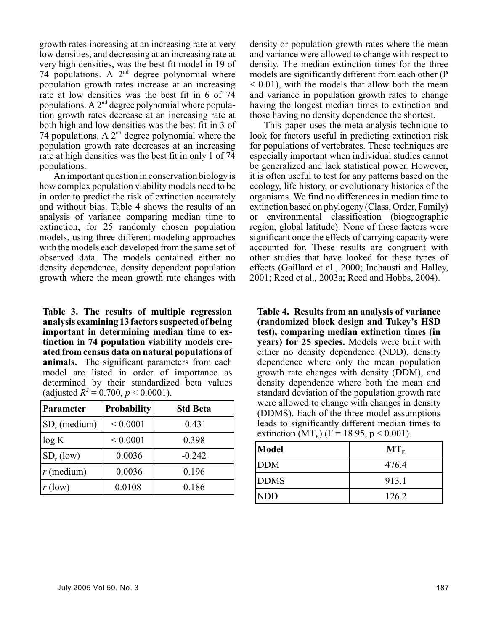growth rates increasing at an increasing rate at very low densities, and decreasing at an increasing rate at very high densities, was the best fit model in 19 of 74 populations. A  $2<sup>nd</sup>$  degree polynomial where population growth rates increase at an increasing rate at low densities was the best fit in 6 of 74 populations. A  $2<sup>nd</sup>$  degree polynomial where population growth rates decrease at an increasing rate at both high and low densities was the best fit in 3 of 74 populations. A  $2<sup>nd</sup>$  degree polynomial where the population growth rate decreases at an increasing rate at high densities was the best fit in only 1 of 74 populations.

An important question in conservation biology is how complex population viability models need to be in order to predict the risk of extinction accurately and without bias. Table 4 shows the results of an analysis of variance comparing median time to extinction, for 25 randomly chosen population models, using three different modeling approaches with the models each developed from the same set of observed data. The models contained either no density dependence, density dependent population growth where the mean growth rate changes with

**Table 3. The results of multiple regression analysis examining 13 factors suspected of being important in determining median time to extinction in 74 population viability models created from census data on natural populations of animals.** The significant parameters from each model are listed in order of importance as determined by their standardized beta values (adjusted  $R^2 = 0.700$ ,  $p < 0.0001$ ).

| Parameter       | <b>Probability</b> | <b>Std Beta</b> |  |  |
|-----------------|--------------------|-----------------|--|--|
| $SD_r$ (medium) | ${}< 0.0001$       | $-0.431$        |  |  |
| log K           | ${}< 0.0001$       | 0.398           |  |  |
| $SD_r$ (low)    | 0.0036             | $-0.242$        |  |  |
| $r$ (medium)    | 0.0036             | 0.196           |  |  |
| $r$ (low)       | 0.0108             | 0.186           |  |  |

density or population growth rates where the mean and variance were allowed to change with respect to density. The median extinction times for the three models are significantly different from each other (P  $<$  0.01), with the models that allow both the mean and variance in population growth rates to change having the longest median times to extinction and those having no density dependence the shortest.

This paper uses the meta-analysis technique to look for factors useful in predicting extinction risk for populations of vertebrates. These techniques are especially important when individual studies cannot be generalized and lack statistical power. However, it is often useful to test for any patterns based on the ecology, life history, or evolutionary histories of the organisms. We find no differences in median time to extinction based on phylogeny (Class, Order, Family) or environmental classification (biogeographic region, global latitude). None of these factors were significant once the effects of carrying capacity were accounted for. These results are congruent with other studies that have looked for these types of effects (Gaillard et al., 2000; Inchausti and Halley, 2001; Reed et al., 2003a; Reed and Hobbs, 2004).

**Table 4. Results from an analysis of variance (randomized block design and Tukey's HSD test), comparing median extinction times (in years) for 25 species.** Models were built with either no density dependence (NDD), density dependence where only the mean population growth rate changes with density (DDM), and density dependence where both the mean and standard deviation of the population growth rate were allowed to change with changes in density (DDMS). Each of the three model assumptions leads to significantly different median times to extinction (MT<sub>E</sub>) (F = 18.95, p < 0.001).

| Model       | $MT_{E}$ |
|-------------|----------|
| <b>DDM</b>  | 476.4    |
| <b>DDMS</b> | 913.1    |
| <b>NDD</b>  | 126.2    |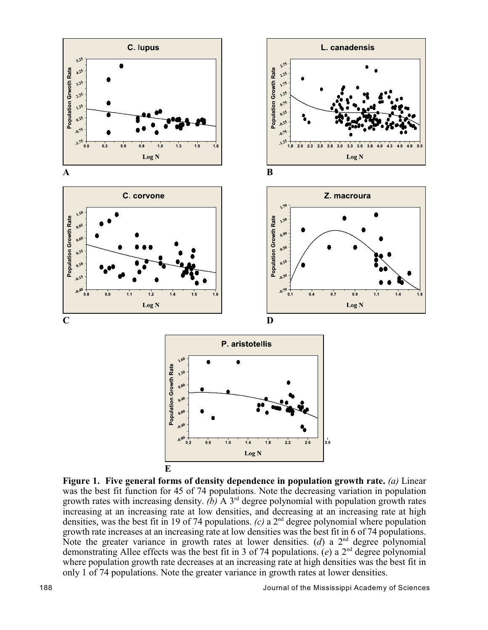

**Figure 1. Five general forms of density dependence in population growth rate.** *(a)* Linear was the best fit function for 45 of 74 populations. Note the decreasing variation in population growth rates with increasing density.  $(b)$  A 3<sup>rd</sup> degree polynomial with population growth rates increasing at an increasing rate at low densities, and decreasing at an increasing rate at high densities, was the best fit in 19 of 74 populations.  $(c)$  a 2<sup>nd</sup> degree polynomial where population growth rate increases at an increasing rate at low densities was the best fit in 6 of 74 populations. Note the greater variance in growth rates at lower densities. (*d*) a  $2<sup>nd</sup>$  degree polynomial demonstrating Allee effects was the best fit in 3 of 74 populations.  $(e)$  a 2<sup>nd</sup> degree polynomial where population growth rate decreases at an increasing rate at high densities was the best fit in only 1 of 74 populations. Note the greater variance in growth rates at lower densities.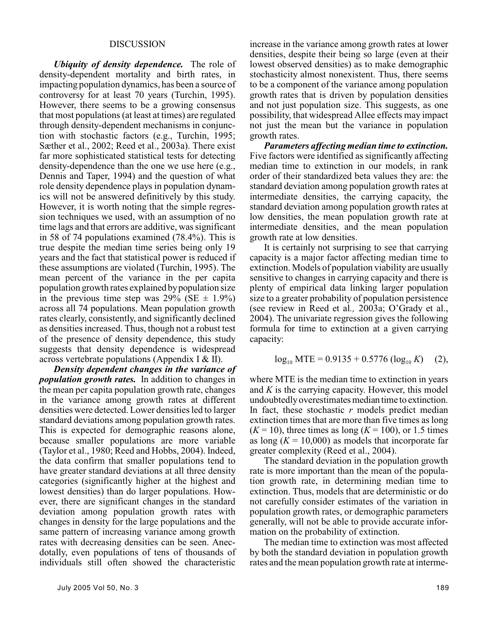#### DISCUSSION

*Ubiquity of density dependence.* The role of density-dependent mortality and birth rates, in impacting population dynamics, has been a source of controversy for at least 70 years (Turchin, 1995). However, there seems to be a growing consensus that most populations (at least at times) are regulated through density-dependent mechanisms in conjunction with stochastic factors (e.g., Turchin, 1995; Sæther et al., 2002; Reed et al., 2003a). There exist far more sophisticated statistical tests for detecting density-dependence than the one we use here (e.g., Dennis and Taper, 1994) and the question of what role density dependence plays in population dynamics will not be answered definitively by this study. However, it is worth noting that the simple regression techniques we used, with an assumption of no time lags and that errors are additive, was significant in 58 of 74 populations examined (78.4%). This is true despite the median time series being only 19 years and the fact that statistical power is reduced if these assumptions are violated (Turchin, 1995). The mean percent of the variance in the per capita population growth rates explained by population size in the previous time step was  $29\%$  (SE  $\pm$  1.9%) across all 74 populations. Mean population growth rates clearly, consistently, and significantly declined as densities increased. Thus, though not a robust test of the presence of density dependence, this study suggests that density dependence is widespread across vertebrate populations (Appendix I & II).

*Density dependent changes in the variance of population growth rates.* In addition to changes in the mean per capita population growth rate, changes in the variance among growth rates at different densities were detected. Lower densities led to larger standard deviations among population growth rates. This is expected for demographic reasons alone, because smaller populations are more variable (Taylor et al., 1980; Reed and Hobbs, 2004). Indeed, the data confirm that smaller populations tend to have greater standard deviations at all three density categories (significantly higher at the highest and lowest densities) than do larger populations. However, there are significant changes in the standard deviation among population growth rates with changes in density for the large populations and the same pattern of increasing variance among growth rates with decreasing densities can be seen. Anecdotally, even populations of tens of thousands of individuals still often showed the characteristic

increase in the variance among growth rates at lower densities, despite their being so large (even at their lowest observed densities) as to make demographic stochasticity almost nonexistent. Thus, there seems to be a component of the variance among population growth rates that is driven by population densities and not just population size. This suggests, as one possibility, that widespread Allee effects may impact not just the mean but the variance in population growth rates.

*Parameters affecting median time to extinction.* Five factors were identified as significantly affecting median time to extinction in our models, in rank order of their standardized beta values they are: the standard deviation among population growth rates at intermediate densities, the carrying capacity, the standard deviation among population growth rates at low densities, the mean population growth rate at intermediate densities, and the mean population growth rate at low densities.

It is certainly not surprising to see that carrying capacity is a major factor affecting median time to extinction. Models of population viability are usually sensitive to changes in carrying capacity and there is plenty of empirical data linking larger population size to a greater probability of population persistence (see review in Reed et al*.,* 2003a; O'Grady et al., 2004). The univariate regression gives the following formula for time to extinction at a given carrying capacity:

$$
\log_{10} \text{MTE} = 0.9135 + 0.5776 \left( \log_{10} K \right) \quad (2),
$$

where MTE is the median time to extinction in years and *K* is the carrying capacity. However, this model undoubtedly overestimates median time to extinction. In fact, these stochastic *r* models predict median extinction times that are more than five times as long  $(K = 10)$ , three times as long  $(K = 100)$ , or 1.5 times as long  $(K = 10,000)$  as models that incorporate far greater complexity (Reed et al., 2004).

The standard deviation in the population growth rate is more important than the mean of the population growth rate, in determining median time to extinction. Thus, models that are deterministic or do not carefully consider estimates of the variation in population growth rates, or demographic parameters generally, will not be able to provide accurate information on the probability of extinction.

The median time to extinction was most affected by both the standard deviation in population growth rates and the mean population growth rate at interme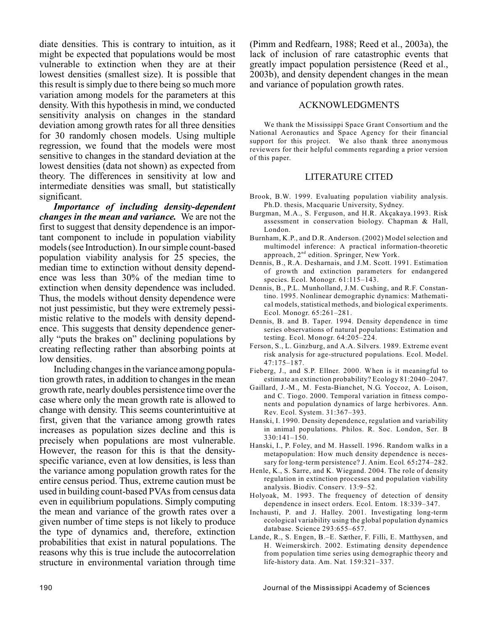diate densities. This is contrary to intuition, as it might be expected that populations would be most vulnerable to extinction when they are at their lowest densities (smallest size). It is possible that this result is simply due to there being so much more variation among models for the parameters at this density. With this hypothesis in mind, we conducted sensitivity analysis on changes in the standard deviation among growth rates for all three densities for 30 randomly chosen models. Using multiple regression, we found that the models were most sensitive to changes in the standard deviation at the lowest densities (data not shown) as expected from theory. The differences in sensitivity at low and intermediate densities was small, but statistically significant.

*Importance of including density-dependent changes in the mean and variance.* We are not the first to suggest that density dependence is an important component to include in population viability models (see Introduction). In our simple count-based population viability analysis for 25 species, the median time to extinction without density dependence was less than 30% of the median time to extinction when density dependence was included. Thus, the models without density dependence were not just pessimistic, but they were extremely pessimistic relative to the models with density dependence. This suggests that density dependence generally "puts the brakes on" declining populations by creating reflecting rather than absorbing points at low densities.

Including changes in the variance among population growth rates, in addition to changes in the mean growth rate, nearly doubles persistence time over the case where only the mean growth rate is allowed to change with density. This seems counterintuitive at first, given that the variance among growth rates increases as population sizes decline and this is precisely when populations are most vulnerable. However, the reason for this is that the densityspecific variance, even at low densities, is less than the variance among population growth rates for the entire census period. Thus, extreme caution must be used in building count-based PVAs from census data even in equilibrium populations. Simply computing the mean and variance of the growth rates over a given number of time steps is not likely to produce the type of dynamics and, therefore, extinction probabilities that exist in natural populations. The reasons why this is true include the autocorrelation structure in environmental variation through time

(Pimm and Redfearn, 1988; Reed et al., 2003a), the lack of inclusion of rare catastrophic events that greatly impact population persistence (Reed et al., 2003b), and density dependent changes in the mean and variance of population growth rates.

#### ACKNOWLEDGMENTS

We thank the Mississippi Space Grant Consortium and the National Aeronautics and Space Agency for their financial support for this project. We also thank three anonymous reviewers for their helpful comments regarding a prior version of this paper.

## LITERATURE CITED

- Brook, B.W. 1999. Evaluating population viability analysis. Ph.D. thesis, Macquarie University, Sydney.
- Burgman, M.A., S. Ferguson, and H.R. Akçakaya.1993. Risk assessment in conservation biology. Chapman & Hall, London.
- Burnham, K.P., and D.R. Anderson. (2002) Model selection and multimodel inference: A practical information-theoretic approach,  $2^{nd}$  edition. Springer, New York.
- Dennis, B., R.A. Desharnais, and J.M. Scott. 1991. Estimation of growth and extinction parameters for endangered species. Ecol. Monogr. 61:115–143.
- Dennis, B., P.L. Munholland, J.M. Cushing, and R.F. Constantino. 1995. Nonlinear demographic dynamics: Mathematical models, statistical methods, and biological experiments. Ecol. Monogr. 65:261–281.
- Dennis, B. and B. Taper. 1994. Density dependence in time series observations of natural populations: Estimation and testing. Ecol. Monogr. 64:205–224.
- Ferson, S., L. Ginzburg, and A.A. Silvers. 1989. Extreme event risk analysis for age-structured populations. Ecol. Model. 47:175–187.
- Fieberg, J., and S.P. Ellner. 2000. When is it meaningful to estimate an extinction probability? Ecology 81:2040–2047.
- Gaillard, J.-M., M. Festa-Bianchet, N.G. Yoccoz, A. Loison, and C. Tiogo. 2000. Temporal variation in fitness components and population dynamics of large herbivores. Ann. Rev. Ecol. System. 31:367–393.
- Hanski, I. 1990. Density dependence, regulation and variability in animal populations. Philos. R. Soc. London, Ser*.* B 330:141–150.
- Hanski, I., P. Foley, and M. Hassell. 1996. Random walks in a metapopulation: How much density dependence is necessary for long-term persistence? J. Anim. Ecol*.* 65**:**274–282.
- Henle, K., S. Sarre, and K. Wiegand. 2004. The role of density regulation in extinction processes and population viability analysis. Biodiv. Conserv*.* 13:9–52.
- Holyoak, M. 1993. The frequency of detection of density dependence in insect orders. Ecol. Entom. 18:339–347.
- Inchausti, P. and J. Halley. 2001. Investigating long-term ecological variability using the global population dynamics database. Science 293:655–657.
- Lande, R., S. Engen, B.–E. Sæther, F. Filli, E. Matthysen, and H. Weimerskirch. 2002. Estimating density dependence from population time series using demographic theory and life-history data. Am. Nat*.* 159:321–337.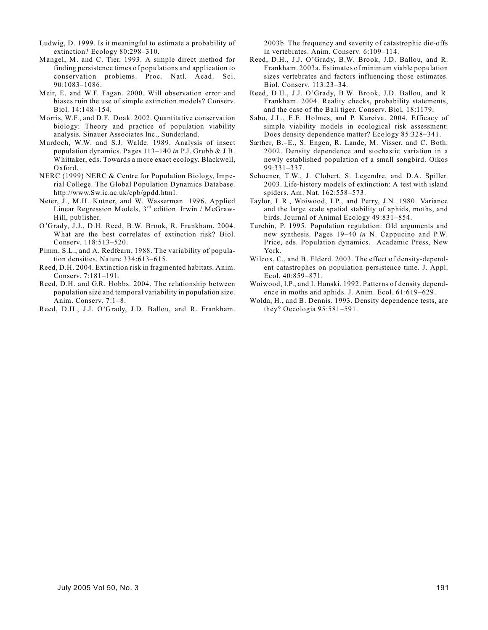- Ludwig, D. 1999. Is it meaningful to estimate a probability of extinction? Ecology 80:298–310.
- Mangel, M. and C. Tier. 1993. A simple direct method for finding persistence times of populations and application to conservation problems. Proc. Natl. Acad. Sci. 90:1083–1086.
- Meir, E. and W.F. Fagan. 2000. Will observation error and biases ruin the use of simple extinction models? Conserv. Biol*.* 14:148–154.
- Morris, W.F., and D.F. Doak. 2002. Quantitative conservation biology: Theory and practice of population viability analysis*.* Sinauer Associates Inc., Sunderland.
- Murdoch, W.W. and S.J. Walde. 1989. Analysis of insect population dynamics. Pages 113–140 *in* P.J. Grubb & J.B. Whittaker, eds. Towards a more exact ecology. Blackwell, Oxford.
- NERC (1999) NERC & Centre for Population Biology, Imperial College. The Global Population Dynamics Database. http://www.Sw.ic.ac.uk/cpb/gpdd.html.
- Neter, J., M.H. Kutner, and W. Wasserman. 1996. Applied Linear Regression Models, 3<sup>rd</sup> edition. Irwin / McGraw-Hill, publisher.
- O'Grady, J.J., D.H. Reed, B.W. Brook, R. Frankham. 2004. What are the best correlates of extinction risk? Biol. Conserv*.* 118:513–520.
- Pimm, S.L., and A. Redfearn. 1988. The variability of population densities. Nature 334:613–615.
- Reed, D.H. 2004. Extinction risk in fragmented habitats. Anim. Conserv. 7:181–191.
- Reed, D.H. and G.R. Hobbs. 2004. The relationship between population size and temporal variability in population size. Anim. Conserv*.* 7:1–8.
- Reed, D.H., J.J. O'Grady, J.D. Ballou, and R. Frankham.

2003b. The frequency and severity of catastrophic die-offs in vertebrates. Anim. Conserv*.* 6:109–114.

- Reed, D.H., J.J. O'Grady, B.W. Brook, J.D. Ballou, and R. Frankham. 2003a. Estimates of minimum viable population sizes vertebrates and factors influencing those estimates. Biol. Conserv*.* 113:23–34.
- Reed, D.H., J.J. O'Grady, B.W. Brook, J.D. Ballou, and R. Frankham. 2004. Reality checks, probability statements, and the case of the Bali tiger. Conserv. Biol*.* 18:1179.
- Sabo, J.L., E.E. Holmes, and P. Kareiva. 2004. Efficacy of simple viability models in ecological risk assessment: Does density dependence matter? Ecology 85:328–341.
- Sæther, B.–E., S. Engen, R. Lande, M. Visser, and C. Both. 2002. Density dependence and stochastic variation in a newly established population of a small songbird. Oikos 99:331–337.
- Schoener, T.W., J. Clobert, S. Legendre, and D.A. Spiller. 2003. Life-history models of extinction: A test with island spiders. Am. Nat*.* 162:558–573.
- Taylor, L.R., Woiwood, I.P., and Perry, J.N. 1980. Variance and the large scale spatial stability of aphids, moths, and birds. Journal of Animal Ecology 49:831–854.
- Turchin, P. 1995. Population regulation: Old arguments and new synthesis. Pages 19–40 *in* N. Cappucino and P.W. Price, eds. Population dynamics. Academic Press, New York.
- Wilcox, C., and B. Elderd. 2003. The effect of density-dependent catastrophes on population persistence time. J. Appl. Ecol. 40:859–871.
- Woiwood, I.P., and I. Hanski. 1992. Patterns of density dependence in moths and aphids. J. Anim. Ecol. 61:619–629.
- Wolda, H., and B. Dennis. 1993. Density dependence tests, are they? Oecologia 95:581–591.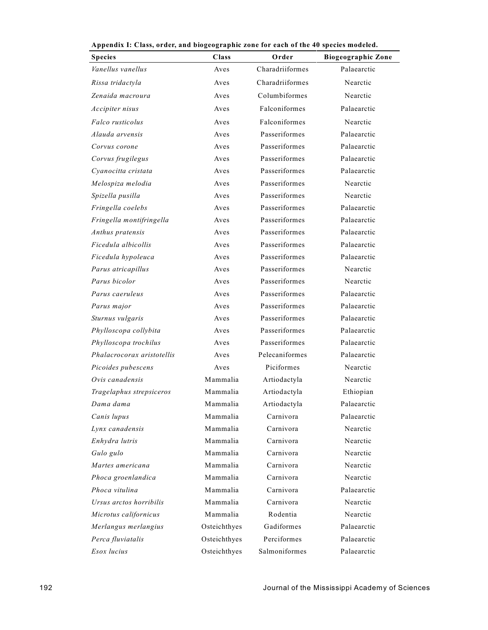| лррения 1. Смээ, огиен, ани отодеодгарны 20не тог сасн от ене 40 эрсенэ шойски.<br><b>Species</b> | Class        | Order           | <b>Biogeographic Zone</b> |  |  |
|---------------------------------------------------------------------------------------------------|--------------|-----------------|---------------------------|--|--|
| Vanellus vanellus                                                                                 | Aves         | Charadriiformes | Palaearctic               |  |  |
| Rissa tridactyla                                                                                  | Aves         | Charadriiformes | Nearctic                  |  |  |
| Zenaida macroura                                                                                  | Aves         | Columbiformes   | Nearctic                  |  |  |
|                                                                                                   |              |                 |                           |  |  |
| Accipiter nisus                                                                                   | Aves         | Falconiformes   | Palaearctic               |  |  |
| Falco rusticolus                                                                                  | Aves         | Falconiformes   | Nearctic                  |  |  |
| Alauda arvensis                                                                                   | Aves         | Passeriformes   | Palaearctic               |  |  |
| Corvus corone                                                                                     | Aves         | Passeriformes   | Palaearctic               |  |  |
| Corvus frugilegus                                                                                 | Aves         | Passeriformes   | Palaearctic               |  |  |
| Cyanocitta cristata                                                                               | Aves         | Passeriformes   | Palaearctic               |  |  |
| Melospiza melodia                                                                                 | Aves         | Passeriformes   | Nearctic                  |  |  |
| Spizella pusilla                                                                                  | Aves         | Passeriformes   | Nearctic                  |  |  |
| Fringella coelebs                                                                                 | Aves         | Passeriformes   | Palaearctic               |  |  |
| Fringella montifringella                                                                          | Aves         | Passeriformes   | Palaearctic               |  |  |
| Anthus pratensis                                                                                  | Aves         | Passeriformes   | Palaearctic               |  |  |
| Ficedula albicollis                                                                               | Aves         | Passeriformes   | Palaearctic               |  |  |
| Ficedula hypoleuca                                                                                | Aves         | Passeriformes   | Palaearctic               |  |  |
| Parus atricapillus                                                                                | Aves         | Passeriformes   | Nearctic                  |  |  |
| Parus bicolor                                                                                     | Aves         | Passeriformes   | Nearctic                  |  |  |
| Parus caeruleus                                                                                   | Aves         | Passeriformes   | Palaearctic               |  |  |
| Parus major                                                                                       | Aves         | Passeriformes   | Palaearctic               |  |  |
| Sturnus vulgaris                                                                                  | Aves         | Passeriformes   | Palaearctic               |  |  |
| Phylloscopa collybita                                                                             | Aves         | Passeriformes   | Palaearctic               |  |  |
| Phylloscopa trochilus                                                                             | Aves         | Passeriformes   | Palaearctic               |  |  |
| Phalacrocorax aristotellis                                                                        | Aves         | Pelecaniformes  | Palaearctic               |  |  |
| Picoides pubescens                                                                                | Aves         | Piciformes      | Nearctic                  |  |  |
| Ovis canadensis                                                                                   | Mammalia     | Artiodactyla    | Nearctic                  |  |  |
| Tragelaphus strepsiceros                                                                          | Mammalia     | Artiodactyla    | Ethiopian                 |  |  |
| Dama dama                                                                                         | Mammalia     | Artiodactyla    | Palaearctic               |  |  |
| Canis lupus                                                                                       | Mammalia     | Carnivora       | Palaearctic               |  |  |
| Lynx canadensis                                                                                   | Mammalia     | Carnivora       | Nearctic                  |  |  |
| Enhydra lutris                                                                                    | Mammalia     | Carnivora       | Nearctic                  |  |  |
| Gulo gulo                                                                                         | Mammalia     | Carnivora       | Nearctic                  |  |  |
| Martes americana                                                                                  | Mammalia     | Carnivora       | Nearctic                  |  |  |
| Phoca groenlandica                                                                                | Mammalia     | Carnivora       | Nearctic                  |  |  |
| Phoca vitulina                                                                                    | Mammalia     | Carnivora       | Palaearctic               |  |  |
| Ursus arctos horribilis                                                                           | Mammalia     | Carnivora       | Nearctic                  |  |  |
| Microtus californicus                                                                             | Mammalia     | Rodentia        | Nearctic                  |  |  |
| Merlangus merlangius                                                                              | Osteichthyes | Gadiformes      | Palaearctic               |  |  |
| Perca fluviatalis                                                                                 | Osteichthyes | Perciformes     | Palaearctic               |  |  |
| Esox lucius                                                                                       | Osteichthyes | Salmoniformes   | Palaearctic               |  |  |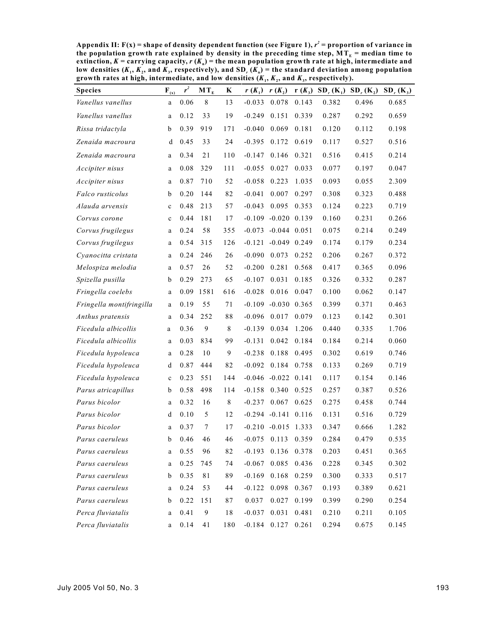Appendix II:  $F(x) =$  shape of density dependent function (see Figure 1),  $r^2 =$  proportion of variance in the population growth rate explained by density in the preceding time step, MT $_{\textrm{\tiny{E}}}$  = median time to **n extinction,** *K* **= carrying capacity,** *r* **(***K* **) = the mean population growth rate at high, intermediate and** low densities  $(K_1, K_2,$  and  $K_3$ , respectively), and SD,  $(K_n)$  = the standard deviation among population growth rates at high, intermediate, and low densities  $(K_{1}, K_{2},$  and  $K_{3}$ , respectively).

| <b>Species</b>           | $\mathbf{F}_{(x)}$ | $r^2$ | $MT_E$ | K      | $r(K_1)$         | $r(K_2)$                  |       | $r(K_3)$ SD, $(K_1)$ | $SD_r(K_2)$ | $SD_r(K_3)$ |
|--------------------------|--------------------|-------|--------|--------|------------------|---------------------------|-------|----------------------|-------------|-------------|
| Vanellus vanellus        | a                  | 0.06  | 8      | 13     | $-0.033$         | 0.078                     | 0.143 | 0.382                | 0.496       | 0.685       |
| Vanellus vanellus        | a                  | 0.12  | 33     | 19     | $-0.249$         | 0.151                     | 0.339 | 0.287                | 0.292       | 0.659       |
| Rissa tridactyla         | b                  | 0.39  | 919    | 171    | $-0.040$         | 0.069                     | 0.181 | 0.120                | 0.112       | 0.198       |
| Zenaida macroura         | d                  | 0.45  | 33     | 24     | $-0.395$         | 0.172                     | 0.619 | 0.117                | 0.527       | 0.516       |
| Zenaida macroura         | a                  | 0.34  | 21     | 110    | $-0.147$         | 0.146                     | 0.321 | 0.516                | 0.415       | 0.214       |
| Accipiter nisus          | a                  | 0.08  | 329    | 111    | $-0.055$         | 0.027                     | 0.033 | 0.077                | 0.197       | 0.047       |
| Accipiter nisus          | a                  | 0.87  | 710    | 52     | $-0.058$         | 0.223                     | 1.035 | 0.093                | 0.055       | 2.309       |
| Falco rusticolus         | b                  | 0.20  | 144    | 82     | $-0.041$         | 0.007                     | 0.297 | 0.308                | 0.323       | 0.488       |
| Alauda arvensis          | $\mathbf c$        | 0.48  | 213    | 57     | $-0.043$         | 0.095                     | 0.353 | 0.124                | 0.223       | 0.719       |
| Corvus corone            | $\mathbf c$        | 0.44  | 181    | 17     |                  | $-0.109$ $-0.020$ 0.139   |       | 0.160                | 0.231       | 0.266       |
| Corvus frugilegus        | a                  | 0.24  | 58     | 355    | $-0.073$         | $-0.044$ 0.051            |       | 0.075                | 0.214       | 0.249       |
| Corvus frugilegus        | a                  | 0.54  | 315    | 126    |                  | $-0.121 - 0.049 0.249$    |       | 0.174                | 0.179       | 0.234       |
| Cyanocitta cristata      | a                  | 0.24  | 246    | 26     | $-0.090$ $0.073$ |                           | 0.252 | 0.206                | 0.267       | 0.372       |
| Melospiza melodia        | a                  | 0.57  | 26     | 52     | $-0.200$         | 0.281                     | 0.568 | 0.417                | 0.365       | 0.096       |
| Spizella pusilla         | b                  | 0.29  | 273    | 65     | $-0.107$         | 0.031                     | 0.185 | 0.326                | 0.332       | 0.287       |
| Fringella coelebs        | a                  | 0.09  | 1581   | 616    | $-0.028$         | 0.016                     | 0.047 | 0.100                | 0.062       | 0.147       |
| Fringella montifringilla | a                  | 0.19  | 55     | 71     |                  | $-0.109$ $-0.030$ $0.365$ |       | 0.399                | 0.371       | 0.463       |
| Anthus pratensis         | a                  | 0.34  | 252    | 88     | $-0.096$         | 0.017                     | 0.079 | 0.123                | 0.142       | 0.301       |
| Ficedula albicollis      | a                  | 0.36  | 9      | 8      | $-0.139$         | 0.034                     | 1.206 | 0.440                | 0.335       | 1.706       |
| Ficedula albicollis      | a                  | 0.03  | 834    | 99     | $-0.131$         | 0.042                     | 0.184 | 0.184                | 0.214       | 0.060       |
| Ficedula hypoleuca       | a                  | 0.28  | 10     | 9      | $-0.238$         | 0.188                     | 0.495 | 0.302                | 0.619       | 0.746       |
| Ficedula hypoleuca       | d                  | 0.87  | 444    | 82     | $-0.092$         | 0.184                     | 0.758 | 0.133                | 0.269       | 0.719       |
| Ficedula hypoleuca       | $\mathbf c$        | 0.23  | 551    | 144    |                  | $-0.046$ $-0.022$ 0.141   |       | 0.117                | 0.154       | 0.146       |
| Parus atricapillus       | b                  | 0.58  | 498    | 114    | $-0.158$         | 0.340                     | 0.525 | 0.257                | 0.387       | 0.526       |
| Parus bicolor            | a                  | 0.32  | 16     | 8      | $-0.237$         | 0.067                     | 0.625 | 0.275                | 0.458       | 0.744       |
| Parus bicolor            | d                  | 0.10  | 5      | 12     |                  | $-0.294$ $-0.141$ $0.116$ |       | 0.131                | 0.516       | 0.729       |
| Parus bicolor            | a                  | 0.37  | $\tau$ | 17     |                  | $-0.210 -0.015$ 1.333     |       | 0.347                | 0.666       | 1.282       |
| Parus caeruleus          | $\mathbf{b}$       | 0.46  | 46     | 46     |                  | $-0.075$ 0.113 0.359      |       | 0.284                | 0.479       | 0.535       |
| Parus caeruleus          | a                  | 0.55  | 96     | 82     | $-0.193$         | 0.136 0.378               |       | 0.203                | 0.451       | 0.365       |
| Parus caeruleus          | a                  | 0.25  | 745    | 74     | $-0.067$         | 0.085                     | 0.436 | 0.228                | 0.345       | 0.302       |
| Parus caeruleus          | b                  | 0.35  | 81     | 89     |                  | $-0.169$ 0.168 0.259      |       | 0.300                | 0.333       | 0.517       |
| Parus caeruleus          | a                  | 0.24  | 53     | 44     | $-0.122$         | 0.098 0.367               |       | 0.193                | 0.389       | 0.621       |
| Parus caeruleus          | $\mathbf b$        | 0.22  | 151    | 87     | 0.037            | 0.027                     | 0.199 | 0.399                | 0.290       | 0.254       |
| Perca fluviatalis        | a                  | 0.41  | 9      | $1\,8$ | $-0.037$         | 0.031                     | 0.481 | 0.210                | 0.211       | 0.105       |
| Perca fluviatalis        | a                  | 0.14  | 41     | 180    | $-0.184$         | 0.127                     | 0.261 | 0.294                | 0.675       | 0.145       |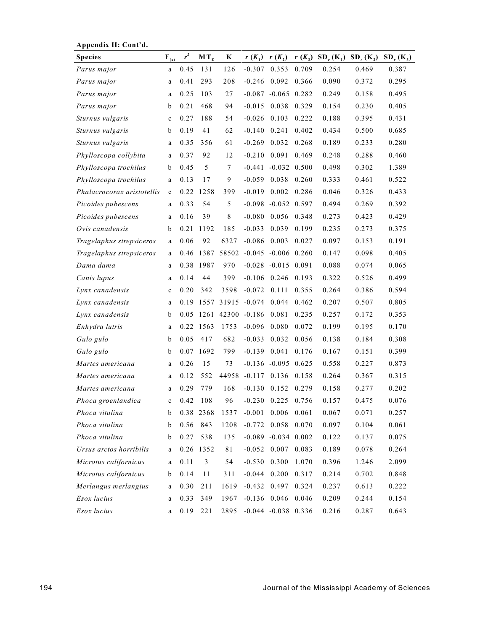| zippenula ili Cont ui      |                    |       |           |       |                           |                           |       |                                  |             |             |
|----------------------------|--------------------|-------|-----------|-------|---------------------------|---------------------------|-------|----------------------------------|-------------|-------------|
| <b>Species</b>             | $\mathbf{F}_{(x)}$ | $r^2$ | $MT_E$    | K     | $r(K_1)$                  | $r(K_2)$                  |       | $r(K_3)$ SD <sub>r</sub> $(K_1)$ | $SD_r(K_2)$ | $SD_r(K_3)$ |
| Parus major                | a                  | 0.45  | 131       | 126   | $-0.307$                  | 0.353                     | 0.709 | 0.254                            | 0.469       | 0.387       |
| Parus major                | a                  | 0.41  | 293       | 208   | $-0.246$                  | 0.092                     | 0.366 | 0.090                            | 0.372       | 0.295       |
| Parus major                | a                  | 0.25  | 103       | 27    |                           | $-0.087$ $-0.065$ 0.282   |       | 0.249                            | 0.158       | 0.495       |
| Parus major                | b                  | 0.21  | 468       | 94    | $-0.015$                  | 0.038                     | 0.329 | 0.154                            | 0.230       | 0.405       |
| Sturnus vulgaris           | c                  | 0.27  | 188       | 54    | $-0.026$                  | 0.103                     | 0.222 | 0.188                            | 0.395       | 0.431       |
| Sturnus vulgaris           | b                  | 0.19  | 41        | 62    | $-0.140$                  | 0.241                     | 0.402 | 0.434                            | 0.500       | 0.685       |
| Sturnus vulgaris           | a                  | 0.35  | 356       | 61    | $-0.269$                  | 0.032                     | 0.268 | 0.189                            | 0.233       | 0.280       |
| Phylloscopa collybita      | a                  | 0.37  | 92        | 12    | $-0.210$                  | 0.091                     | 0.469 | 0.248                            | 0.288       | 0.460       |
| Phylloscopa trochilus      | b                  | 0.45  | 5         | 7     | $-0.441$                  | $-0.032$ 0.500            |       | 0.498                            | 0.302       | 1.389       |
| Phylloscopa trochilus      | a                  | 0.13  | 17        | 9     | $-0.059$                  | 0.038                     | 0.260 | 0.333                            | 0.461       | 0.522       |
| Phalacrocorax aristotellis | e                  | 0.22  | 1258      | 399   | $-0.019$                  | 0.002                     | 0.286 | 0.046                            | 0.326       | 0.433       |
| Picoides pubescens         | a                  | 0.33  | 54        | 5     |                           | $-0.098$ $-0.052$ 0.597   |       | 0.494                            | 0.269       | 0.392       |
| Picoides pubescens         | a                  | 0.16  | 39        | 8     | $-0.080$                  | 0.056                     | 0.348 | 0.273                            | 0.423       | 0.429       |
| Ovis canadensis            | b                  | 0.21  | 1192      | 185   | $-0.033$                  | 0.039                     | 0.199 | 0.235                            | 0.273       | 0.375       |
| Tragelaphus strepsiceros   | a                  | 0.06  | 92        | 6327  | $-0.086$                  | 0.003                     | 0.027 | 0.097                            | 0.153       | 0.191       |
| Tragelaphus strepsiceros   | a                  | 0.46  | 1387      | 58502 | $-0.045$ $-0.006$ $0.260$ |                           |       | 0.147                            | 0.098       | 0.405       |
| Dama dama                  | a                  | 0.38  | 1987      | 970   |                           | $-0.028$ $-0.015$ 0.091   |       | 0.088                            | 0.074       | 0.065       |
| Canis lupus                | a                  | 0.14  | 44        | 399   | $-0.106$                  | 0.246                     | 0.193 | 0.322                            | 0.526       | 0.499       |
| Lynx canadensis            | c                  | 0.20  | 342       | 3598  | $-0.072$                  | 0.111                     | 0.355 | 0.264                            | 0.386       | 0.594       |
| Lynx canadensis            | a                  | 0.19  |           |       | 1557 31915 -0.074         | 0.044                     | 0.462 | 0.207                            | 0.507       | 0.805       |
| Lynx canadensis            | b                  | 0.05  | 1261      | 42300 | $-0.186$                  | 0.081                     | 0.235 | 0.257                            | 0.172       | 0.353       |
| Enhydra lutris             | a                  | 0.22  | 1563      | 1753  | $-0.096$                  | 0.080                     | 0.072 | 0.199                            | 0.195       | 0.170       |
| Gulo gulo                  | b                  | 0.05  | 417       | 682   | $-0.033$                  | 0.032                     | 0.056 | 0.138                            | 0.184       | 0.308       |
| Gulo gulo                  | b                  | 0.07  | 1692      | 799   | $-0.139$                  | 0.041                     | 0.176 | 0.167                            | 0.151       | 0.399       |
| Martes americana           | a                  | 0.26  | 15        | 73    |                           | $-0.136$ $-0.095$ $0.625$ |       | 0.558                            | 0.227       | 0.873       |
| Martes americana           | a                  | 0.12  | 552       | 44958 | $-0.117$                  | 0.136                     | 0.158 | 0.264                            | 0.367       | 0.315       |
| Martes americana           | a                  | 0.29  | 779       | 168   | $-0.130$                  | 0.152                     | 0.279 | 0.158                            | 0.277       | 0.202       |
| Phoca groenlandica         | $\mathbf c$        | 0.42  | 108       | 96    | $-0.230$                  | 0.225                     | 0.756 | 0.157                            | 0.475       | 0.076       |
| Phoca vitulina             | b                  |       | 0.38 2368 | 1537  | $-0.001$                  | $0.006$ 0.061             |       | 0.067                            | 0.071       | 0.257       |
| Phoca vitulina             | b                  | 0.56  | 843       | 1208  | $-0.772$                  | 0.058                     | 0.070 | 0.097                            | 0.104       | 0.061       |
| Phoca vitulina             | b                  | 0.27  | 538       | 135   |                           | $-0.089$ $-0.034$ $0.002$ |       | 0.122                            | 0.137       | 0.075       |
| Ursus arctos horribilis    | a                  |       | 0.26 1352 | 81    | $-0.052$                  | 0.007 0.083               |       | 0.189                            | 0.078       | 0.264       |
| Microtus californicus      | a                  | 0.11  | 3         | 54    | $-0.530$                  | 0.300                     | 1.070 | 0.396                            | 1.246       | 2.099       |
| Microtus californicus      | $\mathbf b$        | 0.14  | 11        | 311   | $-0.044$                  | 0.200                     | 0.317 | 0.214                            | 0.702       | 0.848       |
| Merlangus merlangius       | a                  | 0.30  | 211       | 1619  | $-0.432$                  | 0.497                     | 0.324 | 0.237                            | 0.613       | 0.222       |
| Esox lucius                | a                  | 0.33  | 349       | 1967  |                           | $-0.136$ 0.046            | 0.046 | 0.209                            | 0.244       | 0.154       |
| Esox lucius                | a                  | 0.19  | 221       | 2895  |                           | $-0.044$ $-0.038$ $0.336$ |       | 0.216                            | 0.287       | 0.643       |

**Appendix II: Cont'd.**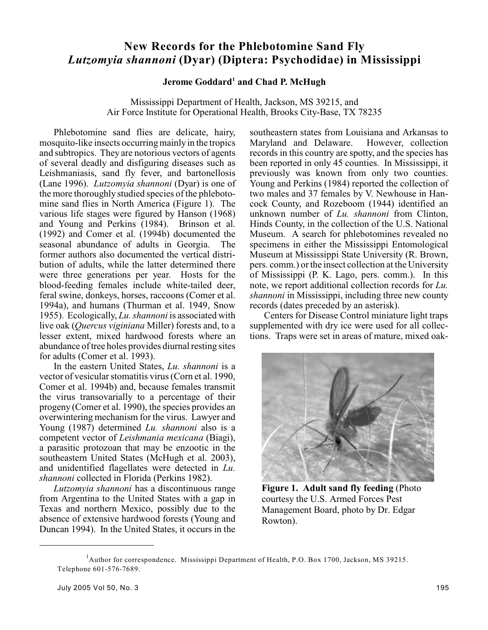# **New Records for the Phlebotomine Sand Fly** *Lutzomyia shannoni* **(Dyar) (Diptera: Psychodidae) in Mississippi**

# **Jerome Goddard<sup>1</sup> and Chad P. McHugh**

Mississippi Department of Health, Jackson, MS 39215, and Air Force Institute for Operational Health, Brooks City-Base, TX 78235

Phlebotomine sand flies are delicate, hairy, mosquito-like insects occurring mainly in the tropics and subtropics. They are notorious vectors of agents of several deadly and disfiguring diseases such as Leishmaniasis, sand fly fever, and bartonellosis (Lane 1996). *Lutzomyia shannoni* (Dyar) is one of the more thoroughly studied species of the phlebotomine sand flies in North America (Figure 1). The various life stages were figured by Hanson (1968) and Young and Perkins (1984). Brinson et al. (1992) and Comer et al. (1994b) documented the seasonal abundance of adults in Georgia. The former authors also documented the vertical distribution of adults, while the latter determined there were three generations per year. Hosts for the blood-feeding females include white-tailed deer, feral swine, donkeys, horses, raccoons (Comer et al. 1994a), and humans (Thurman et al. 1949, Snow 1955). Ecologically, *Lu. shannoni* is associated with live oak (*Quercus viginiana* Miller) forests and, to a lesser extent, mixed hardwood forests where an abundance of tree holes provides diurnal resting sites for adults (Comer et al. 1993).

In the eastern United States, *Lu. shannoni* is a vector of vesicular stomatitis virus (Corn et al. 1990, Comer et al. 1994b) and, because females transmit the virus transovarially to a percentage of their progeny (Comer et al. 1990), the species provides an overwintering mechanism for the virus. Lawyer and Young (1987) determined *Lu. shannoni* also is a competent vector of *Leishmania mexicana* (Biagi), a parasitic protozoan that may be enzootic in the southeastern United States (McHugh et al. 2003), and unidentified flagellates were detected in *Lu. shannoni* collected in Florida (Perkins 1982).

*Lutzomyia shannoni* has a discontinuous range from Argentina to the United States with a gap in Texas and northern Mexico, possibly due to the absence of extensive hardwood forests (Young and Duncan 1994). In the United States, it occurs in the southeastern states from Louisiana and Arkansas to<br>Maryland and Delaware. However, collection Maryland and Delaware. records in this country are spotty, and the species has been reported in only 45 counties. In Mississippi, it previously was known from only two counties. Young and Perkins (1984) reported the collection of two males and 37 females by V. Newhouse in Hancock County, and Rozeboom (1944) identified an unknown number of *Lu. shannoni* from Clinton, Hinds County, in the collection of the U.S. National Museum. A search for phlebotomines revealed no specimens in either the Mississippi Entomological Museum at Mississippi State University (R. Brown, pers. comm.) orthe insect collection at the University of Mississippi (P. K. Lago, pers. comm.). In this note, we report additional collection records for *Lu. shannoni* in Mississippi, including three new county records (dates preceded by an asterisk).

Centers for Disease Control miniature light traps supplemented with dry ice were used for all collections. Traps were set in areas of mature, mixed oak-



**Figure 1. Adult sand fly feeding** (Photo courtesy the U.S. Armed Forces Pest Management Board, photo by Dr. Edgar Rowton).

<sup>&</sup>lt;sup>1</sup>Author for correspondence. Mississippi Department of Health, P.O. Box 1700, Jackson, MS 39215. Telephone 601-576-7689.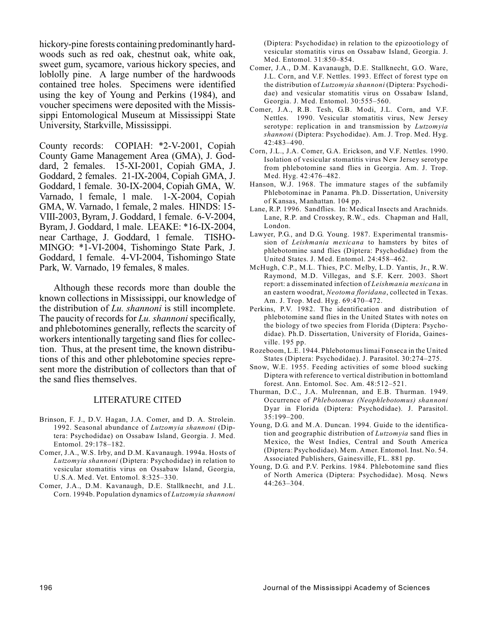hickory-pine forests containing predominantly hardwoods such as red oak, chestnut oak, white oak, sweet gum, sycamore, various hickory species, and loblolly pine. A large number of the hardwoods contained tree holes. Specimens were identified using the key of Young and Perkins (1984), and voucher specimens were deposited with the Mississippi Entomological Museum at Mississippi State University, Starkville, Mississippi.

County records: COPIAH: \*2-V-2001, Copiah County Game Management Area (GMA), J. Goddard, 2 females. 15-XI-2001, Copiah GMA, J. Goddard, 2 females. 21-IX-2004, Copiah GMA, J. Goddard, 1 female. 30-IX-2004, Copiah GMA, W. Varnado, 1 female, 1 male. 1-X-2004, Copiah GMA, W. Varnado, 1 female, 2 males. HINDS: 15- VIII-2003, Byram, J. Goddard, 1 female. 6-V-2004, Byram, J. Goddard, 1 male. LEAKE: \*16-IX-2004, near Carthage, J. Goddard, 1 female. TISHO-MINGO: \*1-VI-2004, Tishomingo State Park, J. Goddard, 1 female. 4-VI-2004, Tishomingo State Park, W. Varnado, 19 females, 8 males.

Although these records more than double the known collections in Mississippi, our knowledge of the distribution of *Lu. shannoni* is still incomplete. The paucity of records for *Lu. shannoni* specifically, and phlebotomines generally, reflects the scarcity of workers intentionally targeting sand flies for collection. Thus, at the present time, the known distributions of this and other phlebotomine species represent more the distribution of collectors than that of the sand flies themselves.

#### LITERATURE CITED

- Brinson, F. J., D.V. Hagan, J.A. Comer, and D. A. Strolein. 1992. Seasonal abundance of *Lutzomyia shannoni* (Diptera: Psychodidae) on Ossabaw Island, Georgia. J. Med. Entomol. 29:178–182.
- Comer, J.A., W.S. Irby, and D.M. Kavanaugh. 1994a. Hosts of *Lutzomyia shannoni* (Diptera: Psychodidae) in relation to vesicular stomatitis virus on Ossabaw Island, Georgia, U.S.A. Med. Vet. Entomol. 8:325–330.
- Comer, J.A., D.M. Kavanaugh, D.E. Stallknecht, and J.L. Corn. 1994b. Population dynamics of *Lutzomyia shannoni*

(Diptera: Psychodidae) in relation to the epizootiology of vesicular stomatitis virus on Ossabaw Island, Georgia. J. Med. Entomol. 31:850–854.

- Comer, J.A., D.M. Kavanaugh, D.E. Stallknecht, G.O. Ware, J.L. Corn, and V.F. Nettles. 1993. Effect of forest type on the distribution of *Lutzomyia shannoni* (Diptera: Psychodidae) and vesicular stomatitis virus on Ossabaw Island, Georgia. J. Med. Entomol. 30:555–560.
- Comer, J.A., R.B. Tesh, G.B. Modi, J.L. Corn, and V.F. Nettles. 1990. Vesicular stomatitis virus, New Jersey serotype: replication in and transmission by *Lutzomyia shannoni* (Diptera: Psychodidae). Am. J. Trop. Med. Hyg. 42:483–490.
- Corn, J.L., J.A. Comer, G.A. Erickson, and V.F. Nettles. 1990. Isolation of vesicular stomatitis virus New Jersey serotype from phlebotomine sand flies in Georgia. Am. J. Trop. Med. Hyg. 42:476–482.
- Hanson, W.J. 1968. The immature stages of the subfamily Phlebotominae in Panama. Ph.D. Dissertation, University of Kansas, Manhattan. 104 pp.
- Lane, R.P. 1996. Sandflies. In: Medical Insects and Arachnids. Lane, R.P. and Crosskey, R.W., eds. Chapman and Hall, London.
- Lawyer, P.G., and D.G. Young. 1987. Experimental transmission of *Leishmania mexicana* to hamsters by bites of phlebotomine sand flies (Diptera: Psychodidae) from the United States. J. Med. Entomol. 24:458–462.
- McHugh, C.P., M.L. Thies, P.C. Melby, L.D. Yantis, Jr., R.W. Raymond, M.D. Villegas, and S.F. Kerr. 2003. Short report: a disseminated infection of *Leishmania mexicana* in an eastern woodrat, *Neotoma floridana*, collected in Texas. Am. J. Trop. Med. Hyg. 69:470–472.
- Perkins, P.V. 1982. The identification and distribution of phlebotomine sand flies in the United States with notes on the biology of two species from Florida (Diptera: Psychodidae). Ph.D. Dissertation, University of Florida, Gainesville. 195 pp.
- Rozeboom, L.E. 1944. Phlebotomus limai Fonseca in the United States (Diptera: Psychodidae). J. Parasitol. 30:274–275.
- Snow, W.E. 1955. Feeding activities of some blood sucking Diptera with reference to vertical distribution in bottomland forest. Ann. Entomol. Soc. Am. 48:512–521.
- Thurman, D.C., J.A. Mulrennan, and E.B. Thurman. 1949. Occurrence of *Phlebotomus (Neophlebotomus) shannoni* Dyar in Florida (Diptera: Psychodidae). J. Parasitol. 35:199–200.
- Young, D.G. and M.A. Duncan. 1994. Guide to the identification and geographic distribution of *Lutzomyia* sand flies in Mexico, the West Indies, Central and South America (Diptera: Psychodidae). Mem. Amer. Entomol. Inst. No. 54. Associated Publishers, Gainesville, FL. 881 pp.
- Young, D.G. and P.V. Perkins. 1984. Phlebotomine sand flies of North America (Diptera: Psychodidae). Mosq. News 44:263–304.